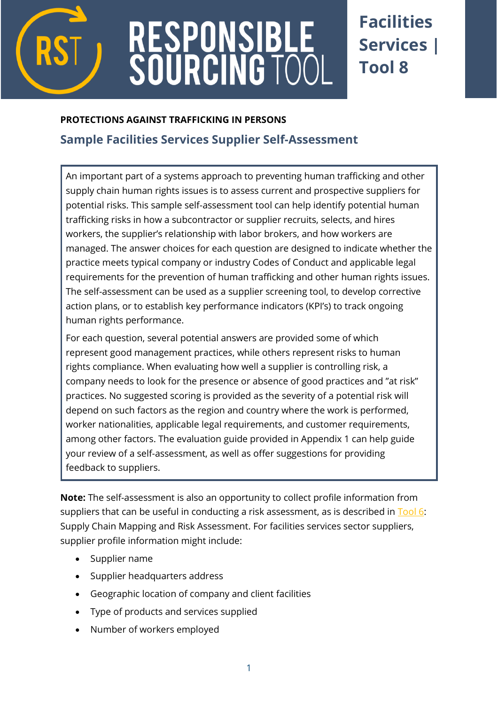

# RESPONSIBL<br>SOURCING TC

# **Facilities Services | Tool 8**

# **PROTECTIONS AGAINST TRAFFICKING IN PERSONS**

# **[Sample Facilities Services](http://verite.org/node/653/lightbox2) Supplier Self-Assessment**

An important part of a systems approach to preventing human trafficking and other supply chain human rights issues is to assess current and prospective suppliers for potential risks. This sample self-assessment tool can help identify potential human trafficking risks in how a subcontractor or supplier recruits, selects, and hires workers, the supplier's relationship with labor brokers, and how workers are managed. The answer choices for each question are designed to indicate whether the practice meets typical company or industry Codes of Conduct and applicable legal requirements for the prevention of human trafficking and other human rights issues. The self-assessment can be used as a supplier screening tool, to develop corrective action plans, or to establish key performance indicators (KPI's) to track ongoing human rights performance.

For each question, several potential answers are provided some of which represent good management practices, while others represent risks to human rights compliance. When evaluating how well a supplier is controlling risk, a company needs to look for the presence or absence of good practices and "at risk" practices. No suggested scoring is provided as the severity of a potential risk will depend on such factors as the region and country where the work is performed, worker nationalities, applicable legal requirements, and customer requirements, among other factors. The evaluation guide provided in Appendix 1 can help guide your review of a self-assessment, as well as offer suggestions for providing feedback to suppliers.

**Note:** The self-assessment is also an opportunity to collect profile information from suppliers that can be useful in conducting a risk assessment, as is described in  $\frac{700}{6}$ : Supply Chain Mapping and Risk Assessment. For facilities services sector suppliers, supplier profile information might include:

- Supplier name
- Supplier headquarters address
- Geographic location of company and client facilities
- Type of products and services supplied
- Number of workers employed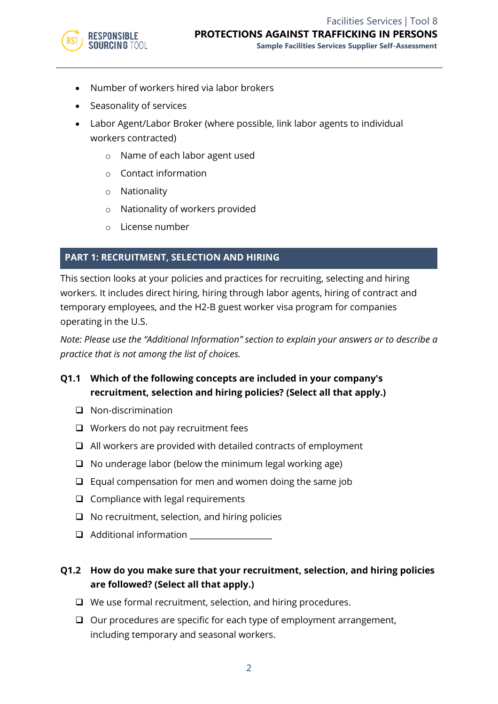

- Number of workers hired via labor brokers
- Seasonality of services
- Labor Agent/Labor Broker (where possible, link labor agents to individual workers contracted)
	- o Name of each labor agent used
	- o Contact information
	- o Nationality
	- o Nationality of workers provided
	- o License number

#### **PART 1: RECRUITMENT, SELECTION AND HIRING**

This section looks at your policies and practices for recruiting, selecting and hiring workers. It includes direct hiring, hiring through labor agents, hiring of contract and temporary employees, and the H2-B guest worker visa program for companies operating in the U.S.

*Note: Please use the "Additional Information" section to explain your answers or to describe a practice that is not among the list of choices.*

# **Q1.1 Which of the following concepts are included in your company's recruitment, selection and hiring policies? (Select all that apply.)**

- ❑ Non-discrimination
- ❑ Workers do not pay recruitment fees
- ❑ All workers are provided with detailed contracts of employment
- ❑ No underage labor (below the minimum legal working age)
- ❑ Equal compensation for men and women doing the same job
- ❑ Compliance with legal requirements
- ❑ No recruitment, selection, and hiring policies
- $\Box$  Additional information

# **Q1.2 How do you make sure that your recruitment, selection, and hiring policies are followed? (Select all that apply.)**

- ❑ We use formal recruitment, selection, and hiring procedures.
- ❑ Our procedures are specific for each type of employment arrangement, including temporary and seasonal workers.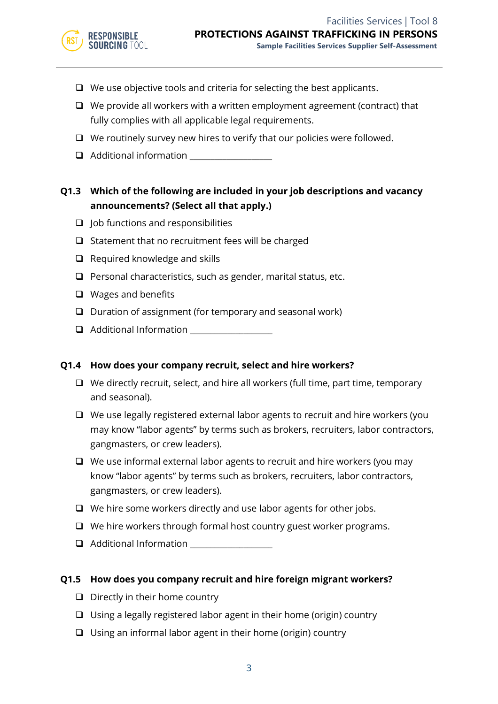- ❑ We use objective tools and criteria for selecting the best applicants.
- ❑ We provide all workers with a written employment agreement (contract) that fully complies with all applicable legal requirements.
- ❑ We routinely survey new hires to verify that our policies were followed.
- ❑ Additional information \_\_\_\_\_\_\_\_\_\_\_\_\_\_\_\_\_\_\_\_

# **Q1.3 Which of the following are included in your job descriptions and vacancy announcements? (Select all that apply.)**

- ❑ Job functions and responsibilities
- ❑ Statement that no recruitment fees will be charged
- ❑ Required knowledge and skills
- ❑ Personal characteristics, such as gender, marital status, etc.
- ❑ Wages and benefits
- ❑ Duration of assignment (for temporary and seasonal work)
- ❑ Additional Information \_\_\_\_\_\_\_\_\_\_\_\_\_\_\_\_\_\_\_\_

#### **Q1.4 How does your company recruit, select and hire workers?**

- ❑ We directly recruit, select, and hire all workers (full time, part time, temporary and seasonal).
- ❑ We use legally registered external labor agents to recruit and hire workers (you may know "labor agents" by terms such as brokers, recruiters, labor contractors, gangmasters, or crew leaders).
- ❑ We use informal external labor agents to recruit and hire workers (you may know "labor agents" by terms such as brokers, recruiters, labor contractors, gangmasters, or crew leaders).
- ❑ We hire some workers directly and use labor agents for other jobs.
- ❑ We hire workers through formal host country guest worker programs.
- ❑ Additional Information \_\_\_\_\_\_\_\_\_\_\_\_\_\_\_\_\_\_\_\_

#### **Q1.5 How does you company recruit and hire foreign migrant workers?**

- ❑ Directly in their home country
- ❑ Using a legally registered labor agent in their home (origin) country
- ❑ Using an informal labor agent in their home (origin) country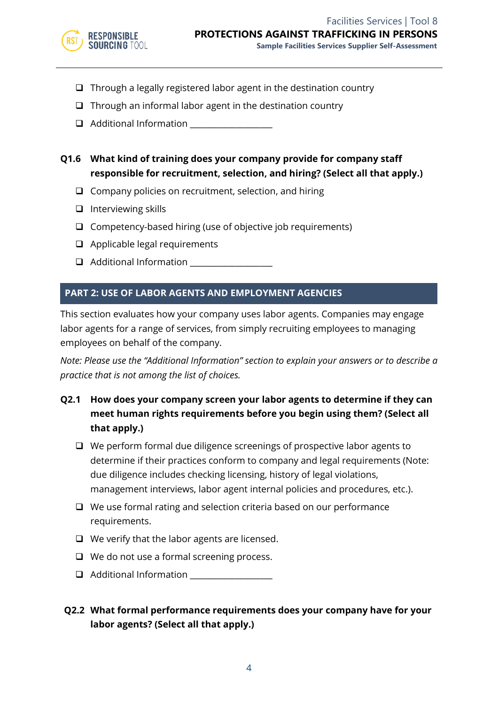

- ❑ Through a legally registered labor agent in the destination country
- $\Box$  Through an informal labor agent in the destination country
- ❑ Additional Information \_\_\_\_\_\_\_\_\_\_\_\_\_\_\_\_\_\_\_\_
- **Q1.6 What kind of training does your company provide for company staff responsible for recruitment, selection, and hiring? (Select all that apply.)**
	- ❑ Company policies on recruitment, selection, and hiring
	- ❑ Interviewing skills
	- ❑ Competency-based hiring (use of objective job requirements)
	- ❑ Applicable legal requirements
	- ❑ Additional Information \_\_\_\_\_\_\_\_\_\_\_\_\_\_\_\_\_\_\_\_

#### **PART 2: USE OF LABOR AGENTS AND EMPLOYMENT AGENCIES**

This section evaluates how your company uses labor agents. Companies may engage labor agents for a range of services, from simply recruiting employees to managing employees on behalf of the company.

*Note: Please use the "Additional Information" section to explain your answers or to describe a practice that is not among the list of choices.*

- **Q2.1 How does your company screen your labor agents to determine if they can meet human rights requirements before you begin using them? (Select all that apply.)**
	- ❑ We perform formal due diligence screenings of prospective labor agents to determine if their practices conform to company and legal requirements (Note: due diligence includes checking licensing, history of legal violations, management interviews, labor agent internal policies and procedures, etc.).
	- ❑ We use formal rating and selection criteria based on our performance requirements.
	- ❑ We verify that the labor agents are licensed.
	- ❑ We do not use a formal screening process.
	- ❑ Additional Information \_\_\_\_\_\_\_\_\_\_\_\_\_\_\_\_\_\_\_\_

# **Q2.2 What formal performance requirements does your company have for your labor agents? (Select all that apply.)**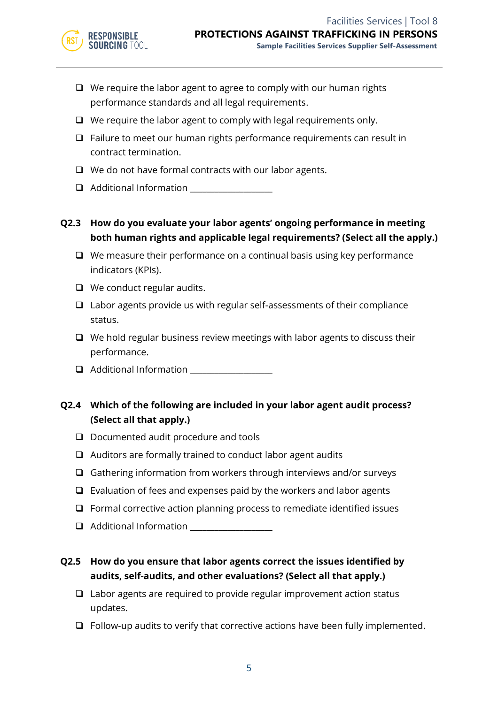- ❑ We require the labor agent to agree to comply with our human rights performance standards and all legal requirements.
- ❑ We require the labor agent to comply with legal requirements only.
- ❑ Failure to meet our human rights performance requirements can result in contract termination.
- ❑ We do not have formal contracts with our labor agents.
- ❑ Additional Information \_\_\_\_\_\_\_\_\_\_\_\_\_\_\_\_\_\_\_\_

# **Q2.3 How do you evaluate your labor agents' ongoing performance in meeting both human rights and applicable legal requirements? (Select all the apply.)**

- ❑ We measure their performance on a continual basis using key performance indicators (KPIs).
- ❑ We conduct regular audits.
- ❑ Labor agents provide us with regular self-assessments of their compliance status.
- ❑ We hold regular business review meetings with labor agents to discuss their performance.
- ❑ Additional Information \_\_\_\_\_\_\_\_\_\_\_\_\_\_\_\_\_\_\_\_

# **Q2.4 Which of the following are included in your labor agent audit process? (Select all that apply.)**

- ❑ Documented audit procedure and tools
- ❑ Auditors are formally trained to conduct labor agent audits
- ❑ Gathering information from workers through interviews and/or surveys
- ❑ Evaluation of fees and expenses paid by the workers and labor agents
- ❑ Formal corrective action planning process to remediate identified issues
- ❑ Additional Information \_\_\_\_\_\_\_\_\_\_\_\_\_\_\_\_\_\_\_\_
- **Q2.5 How do you ensure that labor agents correct the issues identified by audits, self-audits, and other evaluations? (Select all that apply.)**
	- ❑ Labor agents are required to provide regular improvement action status updates.
	- ❑ Follow-up audits to verify that corrective actions have been fully implemented.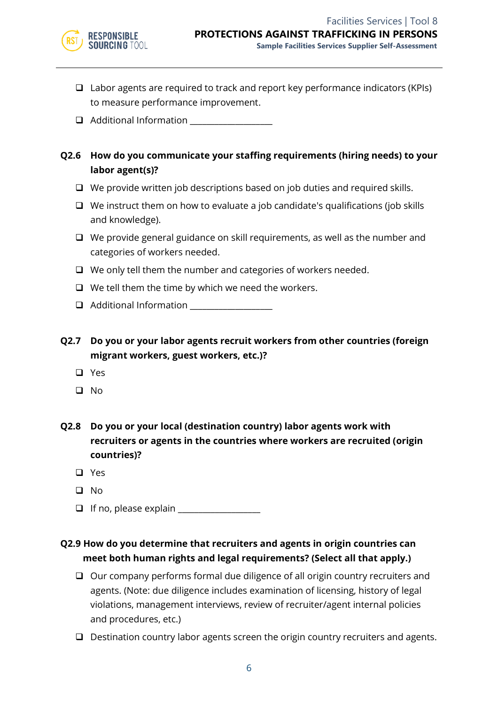

- ❑ Labor agents are required to track and report key performance indicators (KPIs) to measure performance improvement.
- ❑ Additional Information \_\_\_\_\_\_\_\_\_\_\_\_\_\_\_\_\_\_\_\_
- **Q2.6 How do you communicate your staffing requirements (hiring needs) to your labor agent(s)?**
	- ❑ We provide written job descriptions based on job duties and required skills.
	- ❑ We instruct them on how to evaluate a job candidate's qualifications (job skills and knowledge).
	- ❑ We provide general guidance on skill requirements, as well as the number and categories of workers needed.
	- ❑ We only tell them the number and categories of workers needed.
	- ❑ We tell them the time by which we need the workers.
	- ❑ Additional Information \_\_\_\_\_\_\_\_\_\_\_\_\_\_\_\_\_\_\_\_
- **Q2.7 Do you or your labor agents recruit workers from other countries (foreign migrant workers, guest workers, etc.)?**
	- ❑ Yes
	- ❑ No
- **Q2.8 Do you or your local (destination country) labor agents work with recruiters or agents in the countries where workers are recruited (origin countries)?**
	- ❑ Yes
	- ❑ No
	- $\Box$  If no, please explain  $\Box$
- **Q2.9 How do you determine that recruiters and agents in origin countries can meet both human rights and legal requirements? (Select all that apply.)**
	- ❑ Our company performs formal due diligence of all origin country recruiters and agents. (Note: due diligence includes examination of licensing, history of legal violations, management interviews, review of recruiter/agent internal policies and procedures, etc.)
	- ❑ Destination country labor agents screen the origin country recruiters and agents.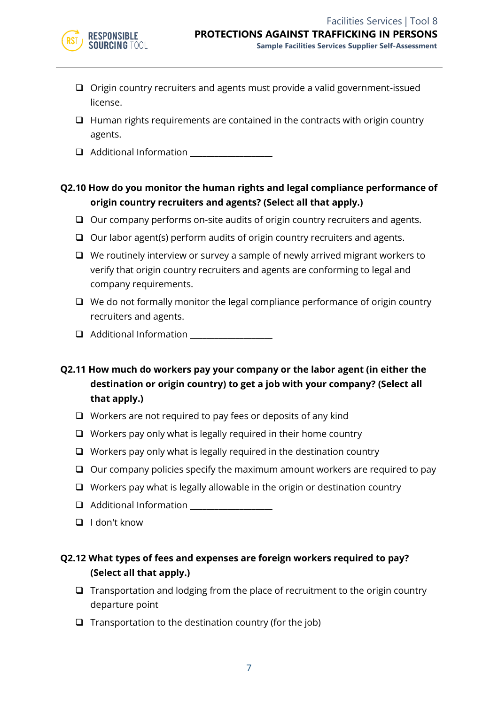

- ❑ Origin country recruiters and agents must provide a valid government-issued license.
- ❑ Human rights requirements are contained in the contracts with origin country agents.
- ❑ Additional Information \_\_\_\_\_\_\_\_\_\_\_\_\_\_\_\_\_\_\_\_

# **Q2.10 How do you monitor the human rights and legal compliance performance of origin country recruiters and agents? (Select all that apply.)**

- ❑ Our company performs on-site audits of origin country recruiters and agents.
- ❑ Our labor agent(s) perform audits of origin country recruiters and agents.
- ❑ We routinely interview or survey a sample of newly arrived migrant workers to verify that origin country recruiters and agents are conforming to legal and company requirements.
- ❑ We do not formally monitor the legal compliance performance of origin country recruiters and agents.
- $\Box$  Additional Information
- **Q2.11 How much do workers pay your company or the labor agent (in either the destination or origin country) to get a job with your company? (Select all that apply.)**
	- ❑ Workers are not required to pay fees or deposits of any kind
	- ❑ Workers pay only what is legally required in their home country
	- ❑ Workers pay only what is legally required in the destination country
	- ❑ Our company policies specify the maximum amount workers are required to pay
	- ❑ Workers pay what is legally allowable in the origin or destination country
	- ❑ Additional Information \_\_\_\_\_\_\_\_\_\_\_\_\_\_\_\_\_\_\_\_
	- ❑ I don't know

# **Q2.12 What types of fees and expenses are foreign workers required to pay? (Select all that apply.)**

- ❑ Transportation and lodging from the place of recruitment to the origin country departure point
- $\Box$  Transportation to the destination country (for the job)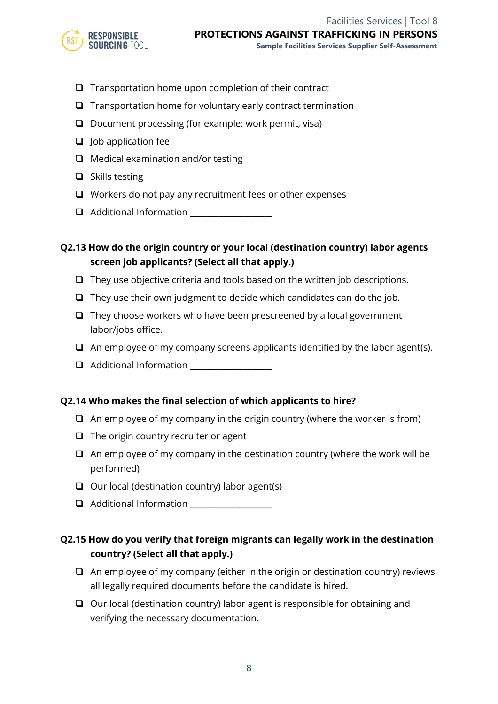

- ❑ Transportation home upon completion of their contract
- ❑ Transportation home for voluntary early contract termination
- ❑ Document processing (for example: work permit, visa)
- ❑ Job application fee
- ❑ Medical examination and/or testing
- ❑ Skills testing
- ❑ Workers do not pay any recruitment fees or other expenses
- ❑ Additional Information \_\_\_\_\_\_\_\_\_\_\_\_\_\_\_\_\_\_\_\_

**Q2.13 How do the origin country or your local (destination country) labor agents screen job applicants? (Select all that apply.)**

- ❑ They use objective criteria and tools based on the written job descriptions.
- $\Box$  They use their own judgment to decide which candidates can do the job.
- ❑ They choose workers who have been prescreened by a local government labor/jobs office.
- ❑ An employee of my company screens applicants identified by the labor agent(s).
- ❑ Additional Information \_\_\_\_\_\_\_\_\_\_\_\_\_\_\_\_\_\_\_\_

# **Q2.14 Who makes the final selection of which applicants to hire?**

- $\Box$  An employee of my company in the origin country (where the worker is from)
- ❑ The origin country recruiter or agent
- $\Box$  An employee of my company in the destination country (where the work will be performed)
- ❑ Our local (destination country) labor agent(s)
- ❑ Additional Information \_\_\_\_\_\_\_\_\_\_\_\_\_\_\_\_\_\_\_\_

# **Q2.15 How do you verify that foreign migrants can legally work in the destination country? (Select all that apply.)**

- ❑ An employee of my company (either in the origin or destination country) reviews all legally required documents before the candidate is hired.
- ❑ Our local (destination country) labor agent is responsible for obtaining and verifying the necessary documentation.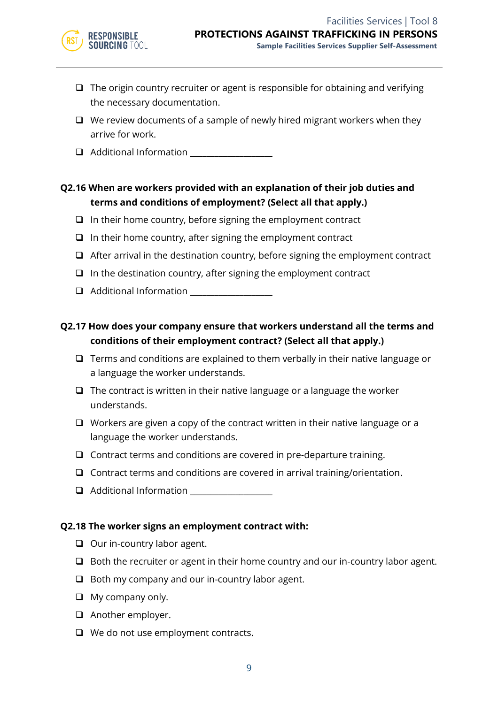- ❑ The origin country recruiter or agent is responsible for obtaining and verifying the necessary documentation.
- ❑ We review documents of a sample of newly hired migrant workers when they arrive for work.
- ❑ Additional Information \_\_\_\_\_\_\_\_\_\_\_\_\_\_\_\_\_\_\_\_

# **Q2.16 When are workers provided with an explanation of their job duties and terms and conditions of employment? (Select all that apply.)**

- ❑ In their home country, before signing the employment contract
- ❑ In their home country, after signing the employment contract
- ❑ After arrival in the destination country, before signing the employment contract
- ❑ In the destination country, after signing the employment contract
- ❑ Additional Information \_\_\_\_\_\_\_\_\_\_\_\_\_\_\_\_\_\_\_\_

# **Q2.17 How does your company ensure that workers understand all the terms and conditions of their employment contract? (Select all that apply.)**

- ❑ Terms and conditions are explained to them verbally in their native language or a language the worker understands.
- ❑ The contract is written in their native language or a language the worker understands.
- ❑ Workers are given a copy of the contract written in their native language or a language the worker understands.
- ❑ Contract terms and conditions are covered in pre-departure training.
- ❑ Contract terms and conditions are covered in arrival training/orientation.
- ❑ Additional Information \_\_\_\_\_\_\_\_\_\_\_\_\_\_\_\_\_\_\_\_

#### **Q2.18 The worker signs an employment contract with:**

- ❑ Our in-country labor agent.
- ❑ Both the recruiter or agent in their home country and our in-country labor agent.
- ❑ Both my company and our in-country labor agent.
- ❑ My company only.
- ❑ Another employer.
- ❑ We do not use employment contracts.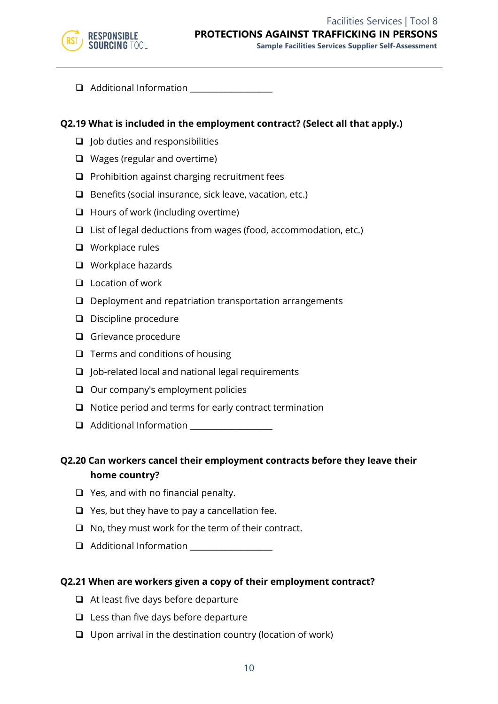

❑ Additional Information \_\_\_\_\_\_\_\_\_\_\_\_\_\_\_\_\_\_\_\_

#### **Q2.19 What is included in the employment contract? (Select all that apply.)**

- ❑ Job duties and responsibilities
- ❑ Wages (regular and overtime)
- ❑ Prohibition against charging recruitment fees
- ❑ Benefits (social insurance, sick leave, vacation, etc.)
- ❑ Hours of work (including overtime)
- ❑ List of legal deductions from wages (food, accommodation, etc.)
- ❑ Workplace rules
- ❑ Workplace hazards
- ❑ Location of work
- ❑ Deployment and repatriation transportation arrangements
- ❑ Discipline procedure
- ❑ Grievance procedure
- ❑ Terms and conditions of housing
- ❑ Job-related local and national legal requirements
- ❑ Our company's employment policies
- ❑ Notice period and terms for early contract termination
- ❑ Additional Information \_\_\_\_\_\_\_\_\_\_\_\_\_\_\_\_\_\_\_\_

**Q2.20 Can workers cancel their employment contracts before they leave their home country?**

- ❑ Yes, and with no financial penalty.
- $\Box$  Yes, but they have to pay a cancellation fee.
- ❑ No, they must work for the term of their contract.
- ❑ Additional Information \_\_\_\_\_\_\_\_\_\_\_\_\_\_\_\_\_\_\_\_

#### **Q2.21 When are workers given a copy of their employment contract?**

- ❑ At least five days before departure
- ❑ Less than five days before departure
- ❑ Upon arrival in the destination country (location of work)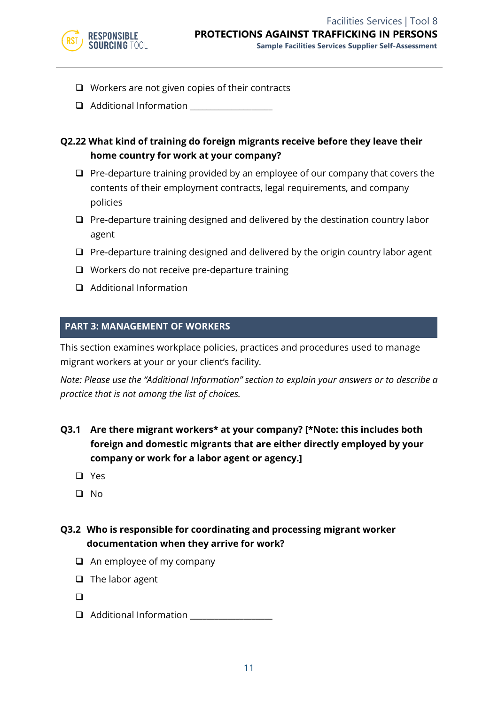

- ❑ Workers are not given copies of their contracts
- $\Box$  Additional Information

# **Q2.22 What kind of training do foreign migrants receive before they leave their home country for work at your company?**

- ❑ Pre-departure training provided by an employee of our company that covers the contents of their employment contracts, legal requirements, and company policies
- ❑ Pre-departure training designed and delivered by the destination country labor agent
- ❑ Pre-departure training designed and delivered by the origin country labor agent
- ❑ Workers do not receive pre-departure training
- ❑ Additional Information

#### **PART 3: MANAGEMENT OF WORKERS**

This section examines workplace policies, practices and procedures used to manage migrant workers at your or your client's facility.

*Note: Please use the "Additional Information" section to explain your answers or to describe a practice that is not among the list of choices.*

- **Q3.1 Are there migrant workers\* at your company? [\*Note: this includes both foreign and domestic migrants that are either directly employed by your company or work for a labor agent or agency.]**
	- ❑ Yes
	- ❑ No

# **Q3.2 Who is responsible for coordinating and processing migrant worker documentation when they arrive for work?**

- ❑ An employee of my company
- ❑ The labor agent
- ❑
- ❑ Additional Information \_\_\_\_\_\_\_\_\_\_\_\_\_\_\_\_\_\_\_\_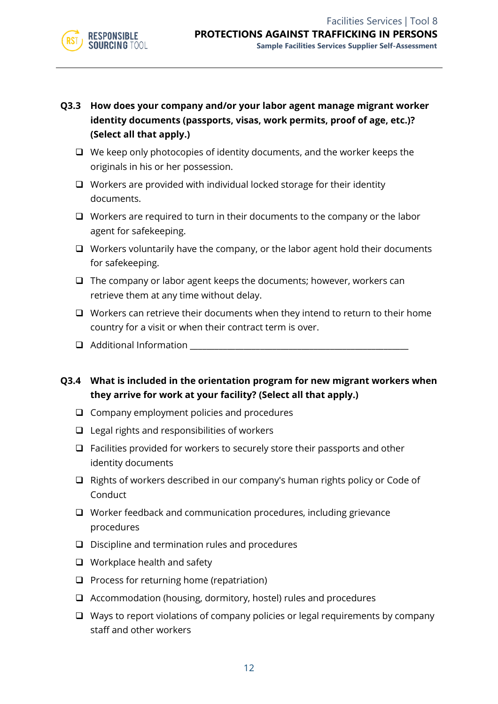

- **Q3.3 How does your company and/or your labor agent manage migrant worker identity documents (passports, visas, work permits, proof of age, etc.)? (Select all that apply.)**
	- ❑ We keep only photocopies of identity documents, and the worker keeps the originals in his or her possession.
	- ❑ Workers are provided with individual locked storage for their identity documents.
	- ❑ Workers are required to turn in their documents to the company or the labor agent for safekeeping.
	- ❑ Workers voluntarily have the company, or the labor agent hold their documents for safekeeping.
	- ❑ The company or labor agent keeps the documents; however, workers can retrieve them at any time without delay.
	- ❑ Workers can retrieve their documents when they intend to return to their home country for a visit or when their contract term is over.
	- $\Box$  Additional Information
- **Q3.4 What is included in the orientation program for new migrant workers when they arrive for work at your facility? (Select all that apply.)**
	- ❑ Company employment policies and procedures
	- ❑ Legal rights and responsibilities of workers
	- ❑ Facilities provided for workers to securely store their passports and other identity documents
	- ❑ Rights of workers described in our company's human rights policy or Code of Conduct
	- ❑ Worker feedback and communication procedures, including grievance procedures
	- ❑ Discipline and termination rules and procedures
	- ❑ Workplace health and safety
	- ❑ Process for returning home (repatriation)
	- ❑ Accommodation (housing, dormitory, hostel) rules and procedures
	- ❑ Ways to report violations of company policies or legal requirements by company staff and other workers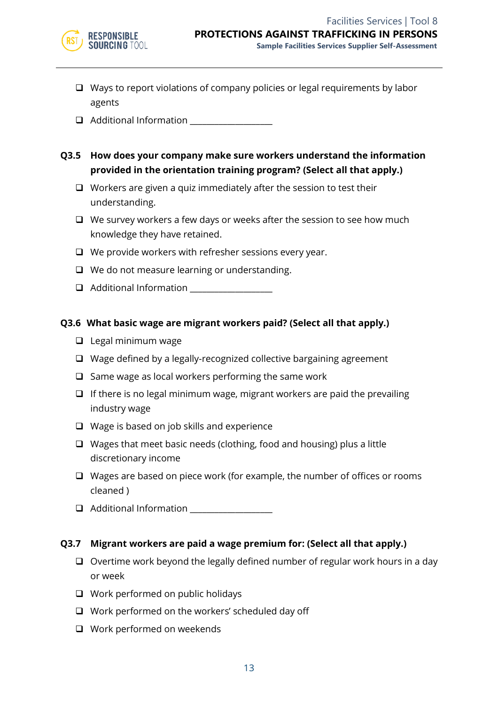

- ❑ Ways to report violations of company policies or legal requirements by labor agents
- ❑ Additional Information \_\_\_\_\_\_\_\_\_\_\_\_\_\_\_\_\_\_\_\_
- **Q3.5 How does your company make sure workers understand the information provided in the orientation training program? (Select all that apply.)**
	- ❑ Workers are given a quiz immediately after the session to test their understanding.
	- ❑ We survey workers a few days or weeks after the session to see how much knowledge they have retained.
	- ❑ We provide workers with refresher sessions every year.
	- ❑ We do not measure learning or understanding.
	- ❑ Additional Information \_\_\_\_\_\_\_\_\_\_\_\_\_\_\_\_\_\_\_\_

#### **Q3.6 What basic wage are migrant workers paid? (Select all that apply.)**

- ❑ Legal minimum wage
- ❑ Wage defined by a legally-recognized collective bargaining agreement
- ❑ Same wage as local workers performing the same work
- $\Box$  If there is no legal minimum wage, migrant workers are paid the prevailing industry wage
- ❑ Wage is based on job skills and experience
- ❑ Wages that meet basic needs (clothing, food and housing) plus a little discretionary income
- ❑ Wages are based on piece work (for example, the number of offices or rooms cleaned )
- $\Box$  Additional Information

#### **Q3.7 Migrant workers are paid a wage premium for: (Select all that apply.)**

- ❑ Overtime work beyond the legally defined number of regular work hours in a day or week
- ❑ Work performed on public holidays
- ❑ Work performed on the workers' scheduled day off
- ❑ Work performed on weekends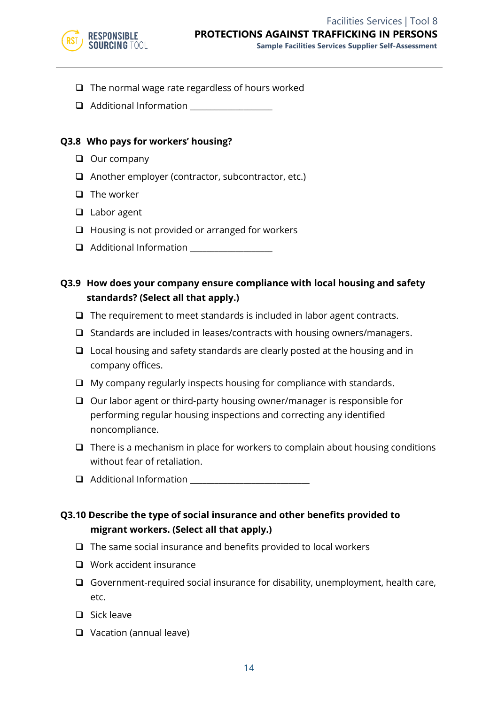

- ❑ The normal wage rate regardless of hours worked
- $\Box$  Additional Information

#### **Q3.8 Who pays for workers' housing?**

- ❑ Our company
- ❑ Another employer (contractor, subcontractor, etc.)
- ❑ The worker
- ❑ Labor agent
- ❑ Housing is not provided or arranged for workers
- ❑ Additional Information \_\_\_\_\_\_\_\_\_\_\_\_\_\_\_\_\_\_\_\_

# **Q3.9 How does your company ensure compliance with local housing and safety standards? (Select all that apply.)**

- ❑ The requirement to meet standards is included in labor agent contracts.
- ❑ Standards are included in leases/contracts with housing owners/managers.
- ❑ Local housing and safety standards are clearly posted at the housing and in company offices.
- ❑ My company regularly inspects housing for compliance with standards.
- ❑ Our labor agent or third-party housing owner/manager is responsible for performing regular housing inspections and correcting any identified noncompliance.
- ❑ There is a mechanism in place for workers to complain about housing conditions without fear of retaliation.
- ❑ Additional Information \_\_\_\_\_\_\_\_\_\_\_\_\_\_\_\_\_\_\_\_\_\_\_\_\_\_\_\_\_

# **Q3.10 Describe the type of social insurance and other benefits provided to migrant workers. (Select all that apply.)**

- ❑ The same social insurance and benefits provided to local workers
- ❑ Work accident insurance
- ❑ Government-required social insurance for disability, unemployment, health care, etc.
- ❑ Sick leave
- ❑ Vacation (annual leave)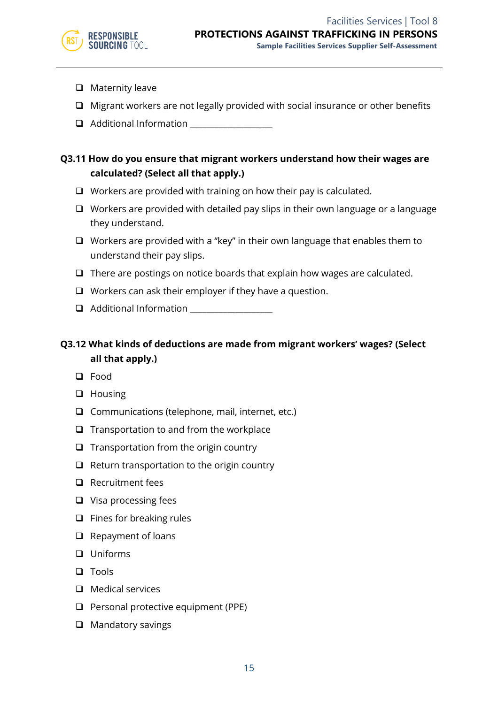- ❑ Maternity leave
- ❑ Migrant workers are not legally provided with social insurance or other benefits
- $\Box$  Additional Information

# **Q3.11 How do you ensure that migrant workers understand how their wages are calculated? (Select all that apply.)**

- ❑ Workers are provided with training on how their pay is calculated.
- ❑ Workers are provided with detailed pay slips in their own language or a language they understand.
- ❑ Workers are provided with a "key" in their own language that enables them to understand their pay slips.
- ❑ There are postings on notice boards that explain how wages are calculated.
- ❑ Workers can ask their employer if they have a question.
- ❑ Additional Information \_\_\_\_\_\_\_\_\_\_\_\_\_\_\_\_\_\_\_\_

# **Q3.12 What kinds of deductions are made from migrant workers' wages? (Select all that apply.)**

- ❑ Food
- ❑ Housing
- ❑ Communications (telephone, mail, internet, etc.)
- ❑ Transportation to and from the workplace
- ❑ Transportation from the origin country
- ❑ Return transportation to the origin country
- ❑ Recruitment fees
- ❑ Visa processing fees
- ❑ Fines for breaking rules
- ❑ Repayment of loans
- ❑ Uniforms
- ❑ Tools
- ❑ Medical services
- ❑ Personal protective equipment (PPE)
- ❑ Mandatory savings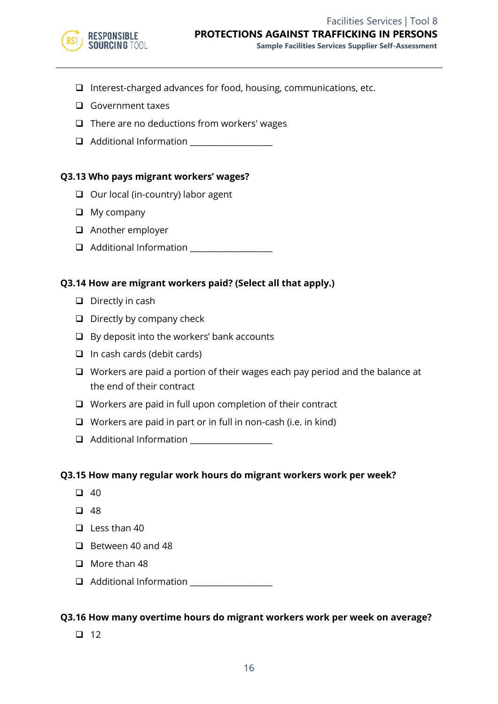

- ❑ Interest-charged advances for food, housing, communications, etc.
- ❑ Government taxes
- ❑ There are no deductions from workers' wages
- ❑ Additional Information \_\_\_\_\_\_\_\_\_\_\_\_\_\_\_\_\_\_\_\_

#### **Q3.13 Who pays migrant workers' wages?**

- ❑ Our local (in-country) labor agent
- ❑ My company
- ❑ Another employer
- ❑ Additional Information \_\_\_\_\_\_\_\_\_\_\_\_\_\_\_\_\_\_\_\_

#### **Q3.14 How are migrant workers paid? (Select all that apply.)**

- ❑ Directly in cash
- ❑ Directly by company check
- ❑ By deposit into the workers' bank accounts
- ❑ In cash cards (debit cards)
- ❑ Workers are paid a portion of their wages each pay period and the balance at the end of their contract
- ❑ Workers are paid in full upon completion of their contract
- ❑ Workers are paid in part or in full in non-cash (i.e. in kind)
- ❑ Additional Information \_\_\_\_\_\_\_\_\_\_\_\_\_\_\_\_\_\_\_\_

#### **Q3.15 How many regular work hours do migrant workers work per week?**

- $\Box$  40
- ❑ 48
- ❑ Less than 40
- ❑ Between 40 and 48
- ❑ More than 48
- ❑ Additional Information \_\_\_\_\_\_\_\_\_\_\_\_\_\_\_\_\_\_\_\_

#### **Q3.16 How many overtime hours do migrant workers work per week on average?**

❑ 12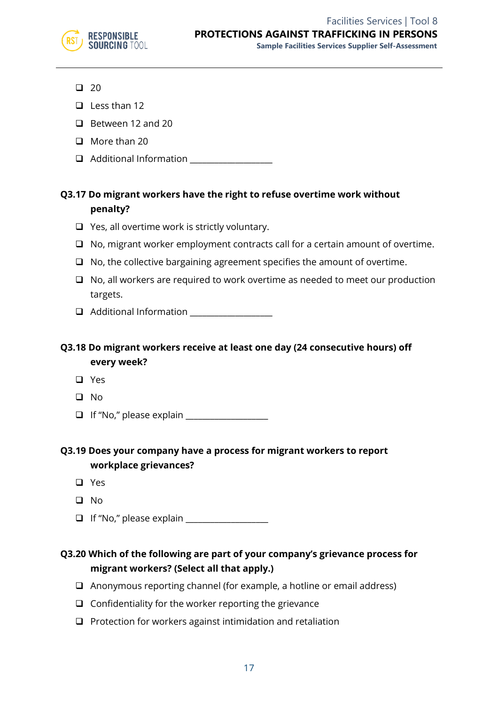

- ❑ 20
- ❑ Less than 12
- ❑ Between 12 and 20
- ❑ More than 20
- ❑ Additional Information \_\_\_\_\_\_\_\_\_\_\_\_\_\_\_\_\_\_\_\_

# **Q3.17 Do migrant workers have the right to refuse overtime work without penalty?**

- ❑ Yes, all overtime work is strictly voluntary.
- ❑ No, migrant worker employment contracts call for a certain amount of overtime.
- ❑ No, the collective bargaining agreement specifies the amount of overtime.
- ❑ No, all workers are required to work overtime as needed to meet our production targets.
- ❑ Additional Information \_\_\_\_\_\_\_\_\_\_\_\_\_\_\_\_\_\_\_\_

# **Q3.18 Do migrant workers receive at least one day (24 consecutive hours) off every week?**

- ❑ Yes
- ❑ No
- ❑ If "No," please explain \_\_\_\_\_\_\_\_\_\_\_\_\_\_\_\_\_\_\_\_

# **Q3.19 Does your company have a process for migrant workers to report workplace grievances?**

- ❑ Yes
- ❑ No
- ❑ If "No," please explain \_\_\_\_\_\_\_\_\_\_\_\_\_\_\_\_\_\_\_\_

# **Q3.20 Which of the following are part of your company's grievance process for migrant workers? (Select all that apply.)**

- ❑ Anonymous reporting channel (for example, a hotline or email address)
- ❑ Confidentiality for the worker reporting the grievance
- ❑ Protection for workers against intimidation and retaliation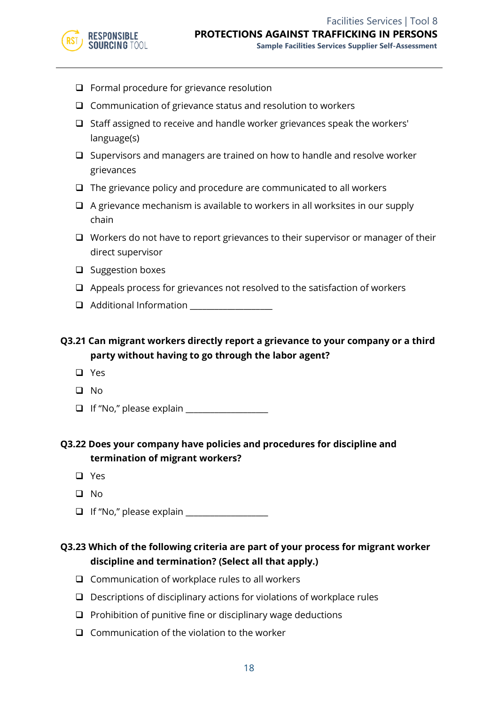

- ❑ Formal procedure for grievance resolution
- ❑ Communication of grievance status and resolution to workers
- ❑ Staff assigned to receive and handle worker grievances speak the workers' language(s)
- ❑ Supervisors and managers are trained on how to handle and resolve worker grievances
- ❑ The grievance policy and procedure are communicated to all workers
- ❑ A grievance mechanism is available to workers in all worksites in our supply chain
- ❑ Workers do not have to report grievances to their supervisor or manager of their direct supervisor
- ❑ Suggestion boxes
- ❑ Appeals process for grievances not resolved to the satisfaction of workers
- ❑ Additional Information \_\_\_\_\_\_\_\_\_\_\_\_\_\_\_\_\_\_\_\_

**Q3.21 Can migrant workers directly report a grievance to your company or a third party without having to go through the labor agent?**

- ❑ Yes
- ❑ No
- ❑ If "No," please explain \_\_\_\_\_\_\_\_\_\_\_\_\_\_\_\_\_\_\_\_

# **Q3.22 Does your company have policies and procedures for discipline and termination of migrant workers?**

- ❑ Yes
- ❑ No
- ❑ If "No," please explain \_\_\_\_\_\_\_\_\_\_\_\_\_\_\_\_\_\_\_\_

# **Q3.23 Which of the following criteria are part of your process for migrant worker discipline and termination? (Select all that apply.)**

- ❑ Communication of workplace rules to all workers
- ❑ Descriptions of disciplinary actions for violations of workplace rules
- ❑ Prohibition of punitive fine or disciplinary wage deductions
- ❑ Communication of the violation to the worker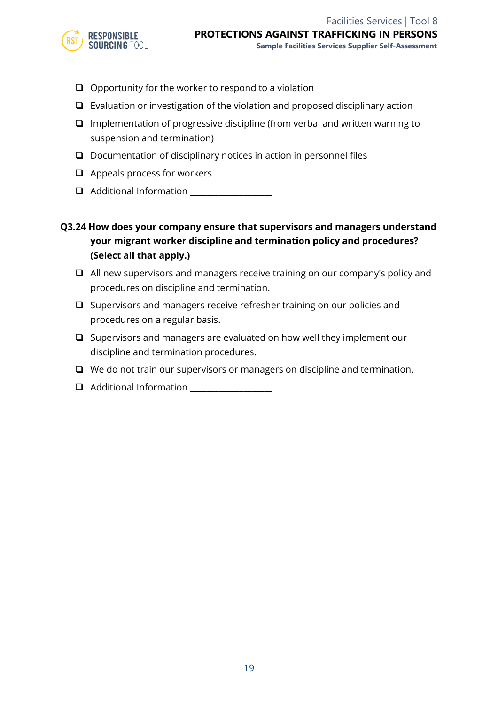

- ❑ Opportunity for the worker to respond to a violation
- ❑ Evaluation or investigation of the violation and proposed disciplinary action
- ❑ Implementation of progressive discipline (from verbal and written warning to suspension and termination)
- ❑ Documentation of disciplinary notices in action in personnel files
- ❑ Appeals process for workers
- ❑ Additional Information \_\_\_\_\_\_\_\_\_\_\_\_\_\_\_\_\_\_\_\_
- **Q3.24 How does your company ensure that supervisors and managers understand your migrant worker discipline and termination policy and procedures? (Select all that apply.)**
	- ❑ All new supervisors and managers receive training on our company's policy and procedures on discipline and termination.
	- ❑ Supervisors and managers receive refresher training on our policies and procedures on a regular basis.
	- ❑ Supervisors and managers are evaluated on how well they implement our discipline and termination procedures.
	- ❑ We do not train our supervisors or managers on discipline and termination.
	- $\Box$  Additional Information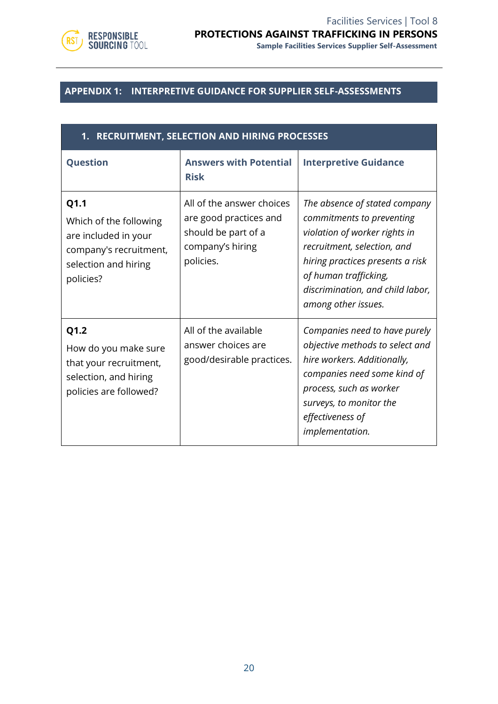

# **APPENDIX 1: INTERPRETIVE GUIDANCE FOR SUPPLIER SELF-ASSESSMENTS**

| 1. RECRUITMENT, SELECTION AND HIRING PROCESSES                                                                        |                                                                                                             |                                                                                                                                                                                                                                                    |
|-----------------------------------------------------------------------------------------------------------------------|-------------------------------------------------------------------------------------------------------------|----------------------------------------------------------------------------------------------------------------------------------------------------------------------------------------------------------------------------------------------------|
| Question                                                                                                              | <b>Answers with Potential</b><br><b>Risk</b>                                                                | <b>Interpretive Guidance</b>                                                                                                                                                                                                                       |
| Q1.1<br>Which of the following<br>are included in your<br>company's recruitment,<br>selection and hiring<br>policies? | All of the answer choices<br>are good practices and<br>should be part of a<br>company's hiring<br>policies. | The absence of stated company<br>commitments to preventing<br>violation of worker rights in<br>recruitment, selection, and<br>hiring practices presents a risk<br>of human trafficking,<br>discrimination, and child labor,<br>among other issues. |
| Q1.2<br>How do you make sure<br>that your recruitment,<br>selection, and hiring<br>policies are followed?             | All of the available<br>answer choices are<br>good/desirable practices.                                     | Companies need to have purely<br>objective methods to select and<br>hire workers. Additionally,<br>companies need some kind of<br>process, such as worker<br>surveys, to monitor the<br>effectiveness of<br>implementation.                        |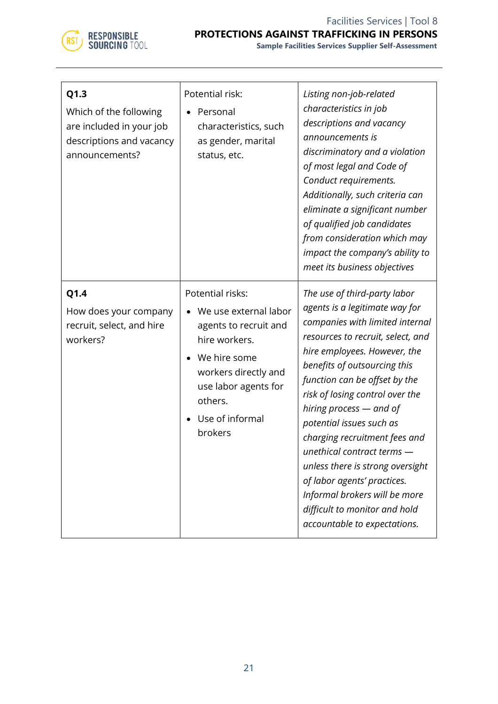

| Q1.3<br>Which of the following<br>are included in your job<br>descriptions and vacancy<br>announcements? | Potential risk:<br>Personal<br>characteristics, such<br>as gender, marital<br>status, etc.                                                                                                   | Listing non-job-related<br>characteristics in job<br>descriptions and vacancy<br>announcements is<br>discriminatory and a violation<br>of most legal and Code of<br>Conduct requirements.<br>Additionally, such criteria can<br>eliminate a significant number<br>of qualified job candidates<br>from consideration which may<br>impact the company's ability to<br>meet its business objectives                                                                                                                                                                      |
|----------------------------------------------------------------------------------------------------------|----------------------------------------------------------------------------------------------------------------------------------------------------------------------------------------------|-----------------------------------------------------------------------------------------------------------------------------------------------------------------------------------------------------------------------------------------------------------------------------------------------------------------------------------------------------------------------------------------------------------------------------------------------------------------------------------------------------------------------------------------------------------------------|
| Q1.4<br>How does your company<br>recruit, select, and hire<br>workers?                                   | Potential risks:<br>We use external labor<br>agents to recruit and<br>hire workers.<br>We hire some<br>workers directly and<br>use labor agents for<br>others.<br>Use of informal<br>brokers | The use of third-party labor<br>agents is a legitimate way for<br>companies with limited internal<br>resources to recruit, select, and<br>hire employees. However, the<br>benefits of outsourcing this<br>function can be offset by the<br>risk of losing control over the<br>hiring process - and of<br>potential issues such as<br>charging recruitment fees and<br>unethical contract terms -<br>unless there is strong oversight<br>of labor agents' practices.<br>Informal brokers will be more<br>difficult to monitor and hold<br>accountable to expectations. |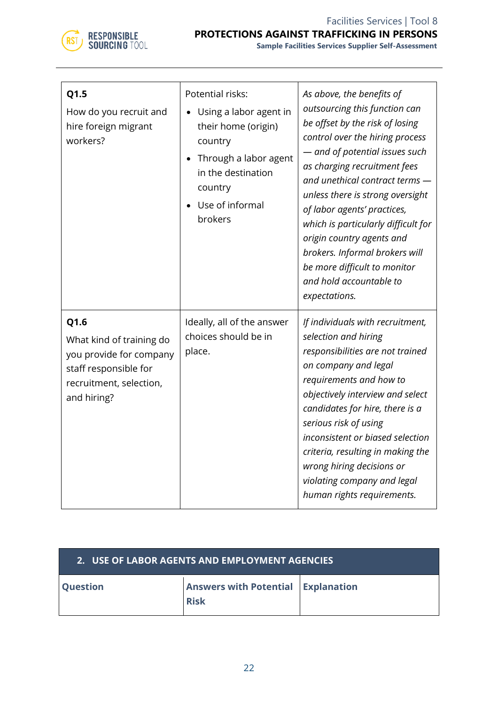

| Q1.5<br>How do you recruit and<br>hire foreign migrant<br>workers?                                                             | Potential risks:<br>Using a labor agent in<br>their home (origin)<br>country<br>Through a labor agent<br>in the destination<br>country<br>Use of informal<br>brokers | As above, the benefits of<br>outsourcing this function can<br>be offset by the risk of losing<br>control over the hiring process<br>- and of potential issues such<br>as charging recruitment fees<br>and unethical contract terms -<br>unless there is strong oversight<br>of labor agents' practices,<br>which is particularly difficult for<br>origin country agents and<br>brokers. Informal brokers will<br>be more difficult to monitor<br>and hold accountable to<br>expectations. |
|--------------------------------------------------------------------------------------------------------------------------------|----------------------------------------------------------------------------------------------------------------------------------------------------------------------|-------------------------------------------------------------------------------------------------------------------------------------------------------------------------------------------------------------------------------------------------------------------------------------------------------------------------------------------------------------------------------------------------------------------------------------------------------------------------------------------|
| Q1.6<br>What kind of training do<br>you provide for company<br>staff responsible for<br>recruitment, selection,<br>and hiring? | Ideally, all of the answer<br>choices should be in<br>place.                                                                                                         | If individuals with recruitment,<br>selection and hiring<br>responsibilities are not trained<br>on company and legal<br>requirements and how to<br>objectively interview and select<br>candidates for hire, there is a<br>serious risk of using<br>inconsistent or biased selection<br>criteria, resulting in making the<br>wrong hiring decisions or<br>violating company and legal<br>human rights requirements.                                                                        |

| 2. USE OF LABOR AGENTS AND EMPLOYMENT AGENCIES |                                                          |  |
|------------------------------------------------|----------------------------------------------------------|--|
| <b>Question</b>                                | <b>Answers with Potential Explanation</b><br><b>Risk</b> |  |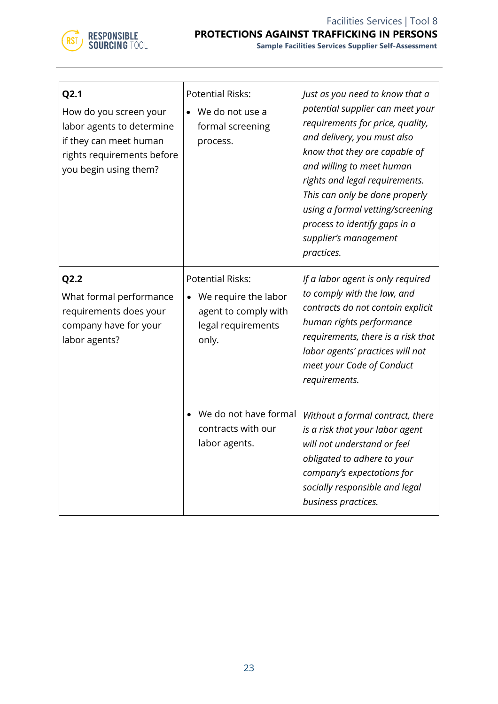

| Q <sub>2.1</sub><br>How do you screen your<br>labor agents to determine<br>if they can meet human<br>rights requirements before<br>you begin using them? | <b>Potential Risks:</b><br>We do not use a<br>formal screening<br>process.                             | Just as you need to know that a<br>potential supplier can meet your<br>requirements for price, quality,<br>and delivery, you must also<br>know that they are capable of<br>and willing to meet human<br>rights and legal requirements.<br>This can only be done properly<br>using a formal vetting/screening<br>process to identify gaps in a<br>supplier's management<br>practices. |
|----------------------------------------------------------------------------------------------------------------------------------------------------------|--------------------------------------------------------------------------------------------------------|--------------------------------------------------------------------------------------------------------------------------------------------------------------------------------------------------------------------------------------------------------------------------------------------------------------------------------------------------------------------------------------|
| Q2.2<br>What formal performance<br>requirements does your<br>company have for your<br>labor agents?                                                      | <b>Potential Risks:</b><br>We require the labor<br>agent to comply with<br>legal requirements<br>only. | If a labor agent is only required<br>to comply with the law, and<br>contracts do not contain explicit<br>human rights performance<br>requirements, there is a risk that<br>labor agents' practices will not<br>meet your Code of Conduct<br>requirements.                                                                                                                            |
|                                                                                                                                                          | We do not have formal<br>contracts with our<br>labor agents.                                           | Without a formal contract, there<br>is a risk that your labor agent<br>will not understand or feel<br>obligated to adhere to your<br>company's expectations for<br>socially responsible and legal<br>business practices.                                                                                                                                                             |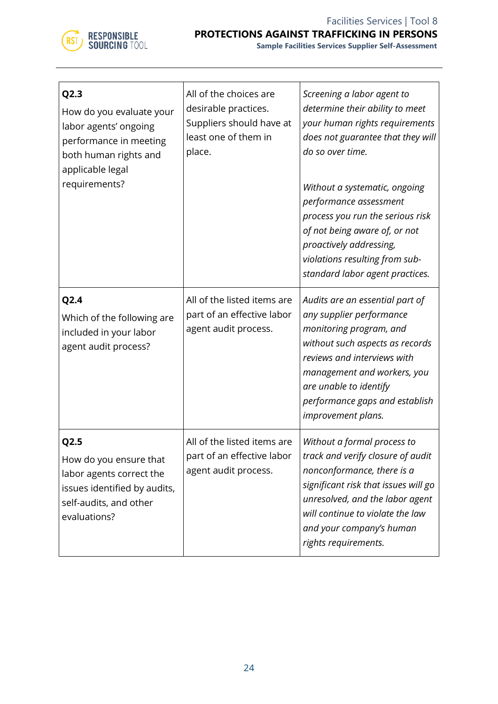

| Q2.3<br>How do you evaluate your<br>labor agents' ongoing<br>performance in meeting<br>both human rights and<br>applicable legal<br>requirements? | All of the choices are<br>desirable practices.<br>Suppliers should have at<br>least one of them in<br>place. | Screening a labor agent to<br>determine their ability to meet<br>your human rights requirements<br>does not guarantee that they will<br>do so over time.<br>Without a systematic, ongoing<br>performance assessment<br>process you run the serious risk<br>of not being aware of, or not<br>proactively addressing,<br>violations resulting from sub-<br>standard labor agent practices. |
|---------------------------------------------------------------------------------------------------------------------------------------------------|--------------------------------------------------------------------------------------------------------------|------------------------------------------------------------------------------------------------------------------------------------------------------------------------------------------------------------------------------------------------------------------------------------------------------------------------------------------------------------------------------------------|
| Q2.4<br>Which of the following are<br>included in your labor<br>agent audit process?                                                              | All of the listed items are<br>part of an effective labor<br>agent audit process.                            | Audits are an essential part of<br>any supplier performance<br>monitoring program, and<br>without such aspects as records<br>reviews and interviews with<br>management and workers, you<br>are unable to identify<br>performance gaps and establish<br>improvement plans.                                                                                                                |
| Q2.5<br>How do you ensure that<br>labor agents correct the<br>issues identified by audits,<br>self-audits, and other<br>evaluations?              | All of the listed items are<br>part of an effective labor<br>agent audit process.                            | Without a formal process to<br>track and verify closure of audit<br>nonconformance, there is a<br>significant risk that issues will go<br>unresolved, and the labor agent<br>will continue to violate the law<br>and your company's human<br>rights requirements.                                                                                                                        |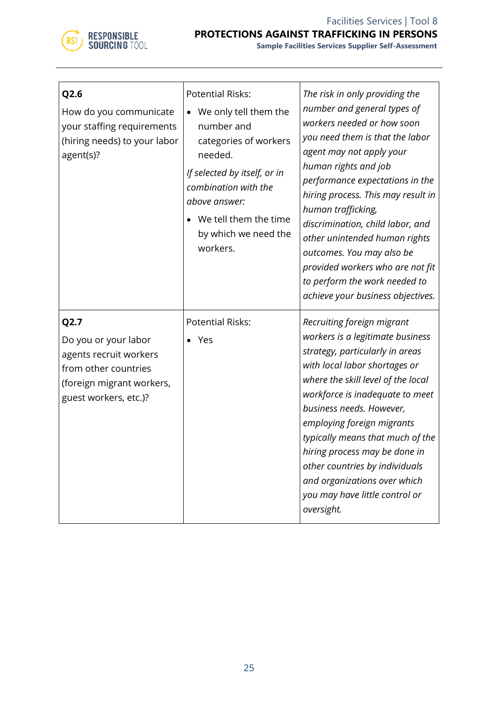

| Q2.6<br>How do you communicate<br>your staffing requirements<br>(hiring needs) to your labor<br>agent(s)?                            | <b>Potential Risks:</b><br>We only tell them the<br>$\bullet$<br>number and<br>categories of workers<br>needed.<br>If selected by itself, or in<br>combination with the<br>above answer:<br>We tell them the time<br>$\bullet$<br>by which we need the<br>workers. | The risk in only providing the<br>number and general types of<br>workers needed or how soon<br>you need them is that the labor<br>agent may not apply your<br>human rights and job<br>performance expectations in the<br>hiring process. This may result in<br>human trafficking,<br>discrimination, child labor, and<br>other unintended human rights<br>outcomes. You may also be<br>provided workers who are not fit<br>to perform the work needed to<br>achieve your business objectives. |
|--------------------------------------------------------------------------------------------------------------------------------------|--------------------------------------------------------------------------------------------------------------------------------------------------------------------------------------------------------------------------------------------------------------------|-----------------------------------------------------------------------------------------------------------------------------------------------------------------------------------------------------------------------------------------------------------------------------------------------------------------------------------------------------------------------------------------------------------------------------------------------------------------------------------------------|
| Q2.7<br>Do you or your labor<br>agents recruit workers<br>from other countries<br>(foreign migrant workers,<br>guest workers, etc.)? | <b>Potential Risks:</b><br>Yes                                                                                                                                                                                                                                     | Recruiting foreign migrant<br>workers is a legitimate business<br>strategy, particularly in areas<br>with local labor shortages or<br>where the skill level of the local<br>workforce is inadequate to meet<br>business needs. However,<br>employing foreign migrants<br>typically means that much of the<br>hiring process may be done in<br>other countries by individuals<br>and organizations over which<br>you may have little control or<br>oversight.                                  |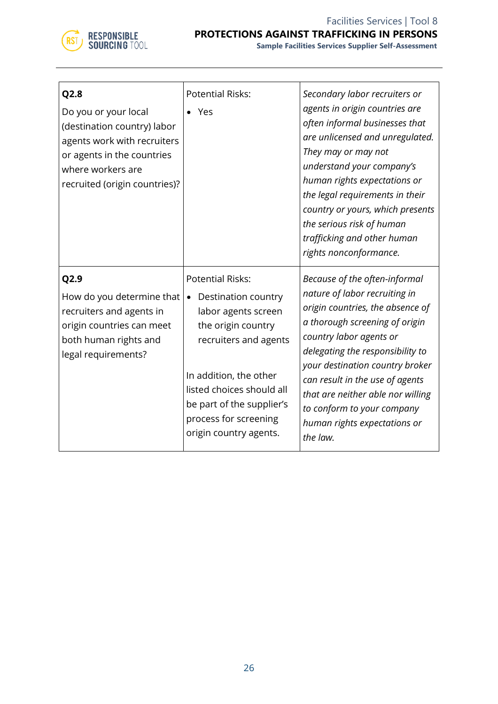

| Q2.8<br>Do you or your local<br>(destination country) labor<br>agents work with recruiters<br>or agents in the countries<br>where workers are<br>recruited (origin countries)? | <b>Potential Risks:</b><br>Yes                                                                                                                                                                                                                                           | Secondary labor recruiters or<br>agents in origin countries are<br>often informal businesses that<br>are unlicensed and unregulated.<br>They may or may not<br>understand your company's<br>human rights expectations or<br>the legal requirements in their<br>country or yours, which presents<br>the serious risk of human<br>trafficking and other human<br>rights nonconformance.    |
|--------------------------------------------------------------------------------------------------------------------------------------------------------------------------------|--------------------------------------------------------------------------------------------------------------------------------------------------------------------------------------------------------------------------------------------------------------------------|------------------------------------------------------------------------------------------------------------------------------------------------------------------------------------------------------------------------------------------------------------------------------------------------------------------------------------------------------------------------------------------|
| Q2.9<br>How do you determine that<br>recruiters and agents in<br>origin countries can meet<br>both human rights and<br>legal requirements?                                     | <b>Potential Risks:</b><br>Destination country<br>$\bullet$<br>labor agents screen<br>the origin country<br>recruiters and agents<br>In addition, the other<br>listed choices should all<br>be part of the supplier's<br>process for screening<br>origin country agents. | Because of the often-informal<br>nature of labor recruiting in<br>origin countries, the absence of<br>a thorough screening of origin<br>country labor agents or<br>delegating the responsibility to<br>your destination country broker<br>can result in the use of agents<br>that are neither able nor willing<br>to conform to your company<br>human rights expectations or<br>the law. |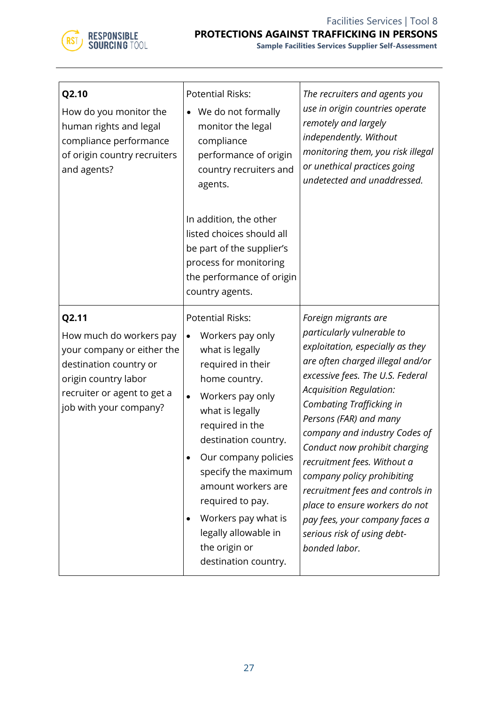

| Q2.10<br>How do you monitor the<br>human rights and legal<br>compliance performance<br>of origin country recruiters<br>and agents?                                        | <b>Potential Risks:</b><br>We do not formally<br>monitor the legal<br>compliance<br>performance of origin<br>country recruiters and<br>agents.<br>In addition, the other<br>listed choices should all<br>be part of the supplier's<br>process for monitoring<br>the performance of origin<br>country agents.                                                                                                   | The recruiters and agents you<br>use in origin countries operate<br>remotely and largely<br>independently. Without<br>monitoring them, you risk illegal<br>or unethical practices going<br>undetected and unaddressed.                                                                                                                                                                                                                                                                                                                        |
|---------------------------------------------------------------------------------------------------------------------------------------------------------------------------|----------------------------------------------------------------------------------------------------------------------------------------------------------------------------------------------------------------------------------------------------------------------------------------------------------------------------------------------------------------------------------------------------------------|-----------------------------------------------------------------------------------------------------------------------------------------------------------------------------------------------------------------------------------------------------------------------------------------------------------------------------------------------------------------------------------------------------------------------------------------------------------------------------------------------------------------------------------------------|
| Q2.11<br>How much do workers pay<br>your company or either the<br>destination country or<br>origin country labor<br>recruiter or agent to get a<br>job with your company? | <b>Potential Risks:</b><br>Workers pay only<br>$\bullet$<br>what is legally<br>required in their<br>home country.<br>Workers pay only<br>$\bullet$<br>what is legally<br>required in the<br>destination country.<br>Our company policies<br>specify the maximum<br>amount workers are<br>required to pay.<br>Workers pay what is<br>$\bullet$<br>legally allowable in<br>the origin or<br>destination country. | Foreign migrants are<br>particularly vulnerable to<br>exploitation, especially as they<br>are often charged illegal and/or<br>excessive fees. The U.S. Federal<br>Acquisition Regulation:<br><b>Combating Trafficking in</b><br>Persons (FAR) and many<br>company and industry Codes of<br>Conduct now prohibit charging<br>recruitment fees. Without a<br>company policy prohibiting<br>recruitment fees and controls in<br>place to ensure workers do not<br>pay fees, your company faces a<br>serious risk of using debt-<br>bonded labor. |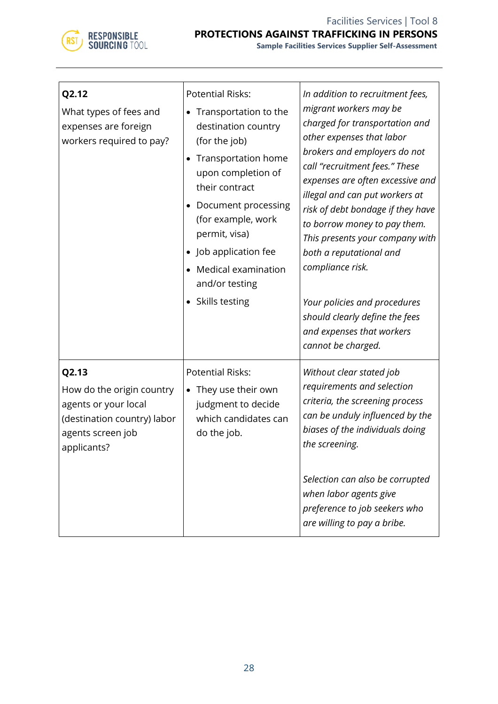

| Q2.12<br>What types of fees and<br>expenses are foreign<br>workers required to pay?                                           | <b>Potential Risks:</b><br>Transportation to the<br>destination country<br>(for the job)<br>Transportation home<br>upon completion of<br>their contract<br>Document processing<br>(for example, work<br>permit, visa)<br>Job application fee<br>$\bullet$<br>Medical examination<br>$\bullet$<br>and/or testing<br>• Skills testing | In addition to recruitment fees,<br>migrant workers may be<br>charged for transportation and<br>other expenses that labor<br>brokers and employers do not<br>call "recruitment fees." These<br>expenses are often excessive and<br>illegal and can put workers at<br>risk of debt bondage if they have<br>to borrow money to pay them.<br>This presents your company with<br>both a reputational and<br>compliance risk.<br>Your policies and procedures<br>should clearly define the fees<br>and expenses that workers<br>cannot be charged. |
|-------------------------------------------------------------------------------------------------------------------------------|-------------------------------------------------------------------------------------------------------------------------------------------------------------------------------------------------------------------------------------------------------------------------------------------------------------------------------------|-----------------------------------------------------------------------------------------------------------------------------------------------------------------------------------------------------------------------------------------------------------------------------------------------------------------------------------------------------------------------------------------------------------------------------------------------------------------------------------------------------------------------------------------------|
| Q2.13<br>How do the origin country<br>agents or your local<br>(destination country) labor<br>agents screen job<br>applicants? | <b>Potential Risks:</b><br>They use their own<br>$\bullet$<br>judgment to decide<br>which candidates can<br>do the job.                                                                                                                                                                                                             | Without clear stated job<br>requirements and selection<br>criteria, the screening process<br>can be unduly influenced by the<br>biases of the individuals doing<br>the screening.<br>Selection can also be corrupted<br>when labor agents give<br>preference to job seekers who<br>are willing to pay a bribe.                                                                                                                                                                                                                                |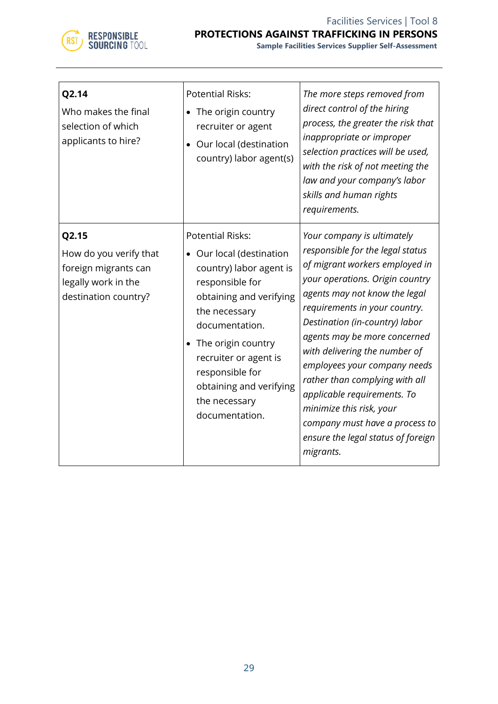

| Q2.14<br>Who makes the final<br>selection of which<br>applicants to hire?                              | <b>Potential Risks:</b><br>• The origin country<br>recruiter or agent<br>• Our local (destination<br>country) labor agent(s)                                                                                                                                                                                 | The more steps removed from<br>direct control of the hiring<br>process, the greater the risk that<br>inappropriate or improper<br>selection practices will be used,<br>with the risk of not meeting the<br>law and your company's labor<br>skills and human rights<br>requirements.                                                                                                                                                                                                                                        |
|--------------------------------------------------------------------------------------------------------|--------------------------------------------------------------------------------------------------------------------------------------------------------------------------------------------------------------------------------------------------------------------------------------------------------------|----------------------------------------------------------------------------------------------------------------------------------------------------------------------------------------------------------------------------------------------------------------------------------------------------------------------------------------------------------------------------------------------------------------------------------------------------------------------------------------------------------------------------|
| Q2.15<br>How do you verify that<br>foreign migrants can<br>legally work in the<br>destination country? | <b>Potential Risks:</b><br>• Our local (destination<br>country) labor agent is<br>responsible for<br>obtaining and verifying<br>the necessary<br>documentation.<br>The origin country<br>$\bullet$<br>recruiter or agent is<br>responsible for<br>obtaining and verifying<br>the necessary<br>documentation. | Your company is ultimately<br>responsible for the legal status<br>of migrant workers employed in<br>your operations. Origin country<br>agents may not know the legal<br>requirements in your country.<br>Destination (in-country) labor<br>agents may be more concerned<br>with delivering the number of<br>employees your company needs<br>rather than complying with all<br>applicable requirements. To<br>minimize this risk, your<br>company must have a process to<br>ensure the legal status of foreign<br>migrants. |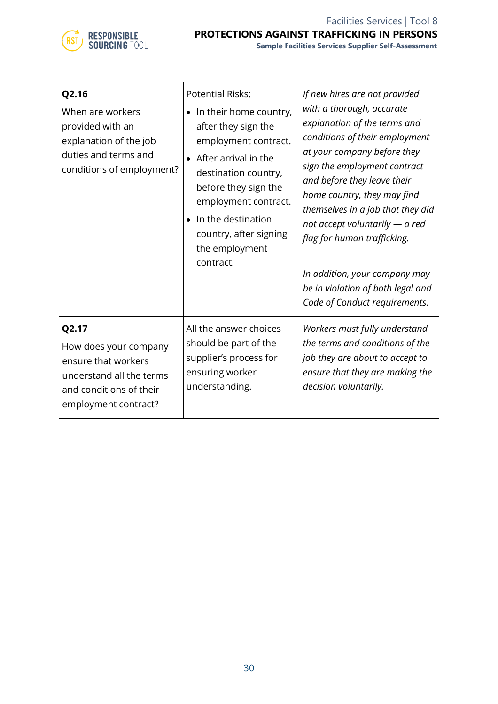

| Q2.16<br>When are workers<br>provided with an<br>explanation of the job<br>duties and terms and<br>conditions of employment?         | <b>Potential Risks:</b><br>In their home country,<br>after they sign the<br>employment contract.<br>After arrival in the<br>destination country,<br>before they sign the<br>employment contract.<br>In the destination<br>country, after signing<br>the employment<br>contract. | If new hires are not provided<br>with a thorough, accurate<br>explanation of the terms and<br>conditions of their employment<br>at your company before they<br>sign the employment contract<br>and before they leave their<br>home country, they may find<br>themselves in a job that they did<br>not accept voluntarily $-$ a red<br>flag for human trafficking.<br>In addition, your company may<br>be in violation of both legal and<br>Code of Conduct requirements. |
|--------------------------------------------------------------------------------------------------------------------------------------|---------------------------------------------------------------------------------------------------------------------------------------------------------------------------------------------------------------------------------------------------------------------------------|--------------------------------------------------------------------------------------------------------------------------------------------------------------------------------------------------------------------------------------------------------------------------------------------------------------------------------------------------------------------------------------------------------------------------------------------------------------------------|
| Q2.17<br>How does your company<br>ensure that workers<br>understand all the terms<br>and conditions of their<br>employment contract? | All the answer choices<br>should be part of the<br>supplier's process for<br>ensuring worker<br>understanding.                                                                                                                                                                  | Workers must fully understand<br>the terms and conditions of the<br>job they are about to accept to<br>ensure that they are making the<br>decision voluntarily.                                                                                                                                                                                                                                                                                                          |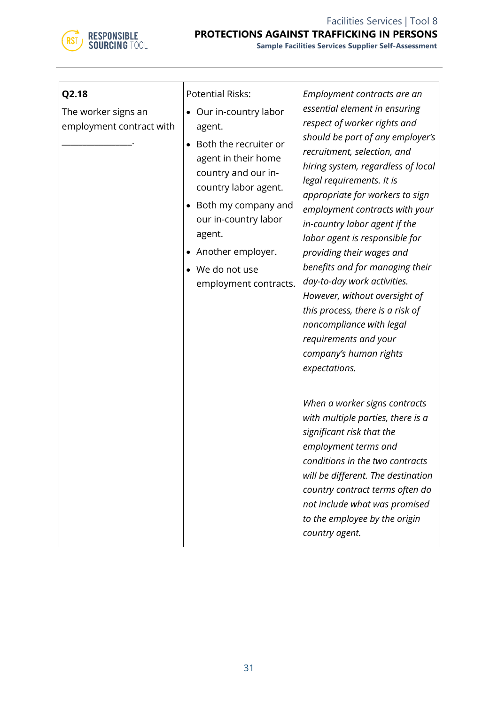

| Q2.18<br>The worker signs an<br>employment contract with | <b>Potential Risks:</b><br>Our in-country labor<br>agent.<br>Both the recruiter or<br>agent in their home<br>country and our in-<br>country labor agent.<br>Both my company and<br>our in-country labor<br>agent.<br>Another employer.<br>We do not use<br>employment contracts. | Employment contracts are an<br>essential element in ensuring<br>respect of worker rights and<br>should be part of any employer's<br>recruitment, selection, and<br>hiring system, regardless of local<br>legal requirements. It is<br>appropriate for workers to sign<br>employment contracts with your<br>in-country labor agent if the<br>labor agent is responsible for<br>providing their wages and<br>benefits and for managing their<br>day-to-day work activities.<br>However, without oversight of<br>this process, there is a risk of<br>noncompliance with legal<br>requirements and your<br>company's human rights<br>expectations. |
|----------------------------------------------------------|----------------------------------------------------------------------------------------------------------------------------------------------------------------------------------------------------------------------------------------------------------------------------------|------------------------------------------------------------------------------------------------------------------------------------------------------------------------------------------------------------------------------------------------------------------------------------------------------------------------------------------------------------------------------------------------------------------------------------------------------------------------------------------------------------------------------------------------------------------------------------------------------------------------------------------------|
|                                                          |                                                                                                                                                                                                                                                                                  | When a worker signs contracts<br>with multiple parties, there is a<br>significant risk that the<br>employment terms and<br>conditions in the two contracts<br>will be different. The destination<br>country contract terms often do<br>not include what was promised<br>to the employee by the origin<br>country agent.                                                                                                                                                                                                                                                                                                                        |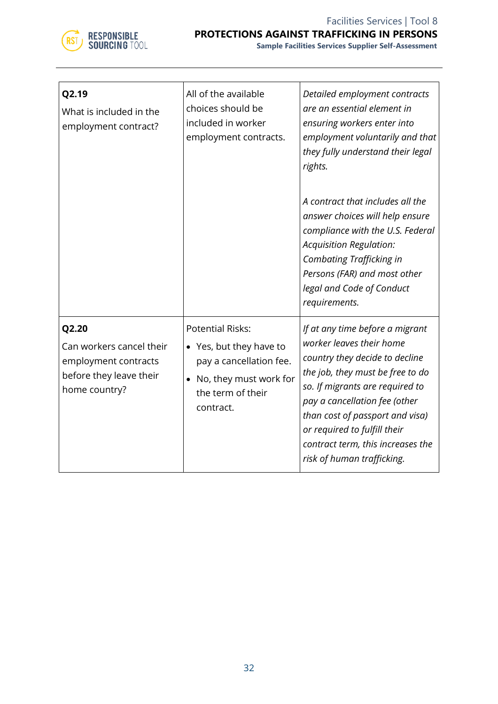

| Q2.19<br>What is included in the<br>employment contract?                                              | All of the available<br>choices should be<br>included in worker<br>employment contracts.                                                               | Detailed employment contracts<br>are an essential element in<br>ensuring workers enter into<br>employment voluntarily and that<br>they fully understand their legal<br>rights.<br>A contract that includes all the<br>answer choices will help ensure<br>compliance with the U.S. Federal<br><b>Acquisition Regulation:</b><br><b>Combating Trafficking in</b><br>Persons (FAR) and most other<br>legal and Code of Conduct<br>requirements. |
|-------------------------------------------------------------------------------------------------------|--------------------------------------------------------------------------------------------------------------------------------------------------------|----------------------------------------------------------------------------------------------------------------------------------------------------------------------------------------------------------------------------------------------------------------------------------------------------------------------------------------------------------------------------------------------------------------------------------------------|
| Q2.20<br>Can workers cancel their<br>employment contracts<br>before they leave their<br>home country? | <b>Potential Risks:</b><br>• Yes, but they have to<br>pay a cancellation fee.<br>No, they must work for<br>$\bullet$<br>the term of their<br>contract. | If at any time before a migrant<br>worker leaves their home<br>country they decide to decline<br>the job, they must be free to do<br>so. If migrants are required to<br>pay a cancellation fee (other<br>than cost of passport and visa)<br>or required to fulfill their<br>contract term, this increases the<br>risk of human trafficking.                                                                                                  |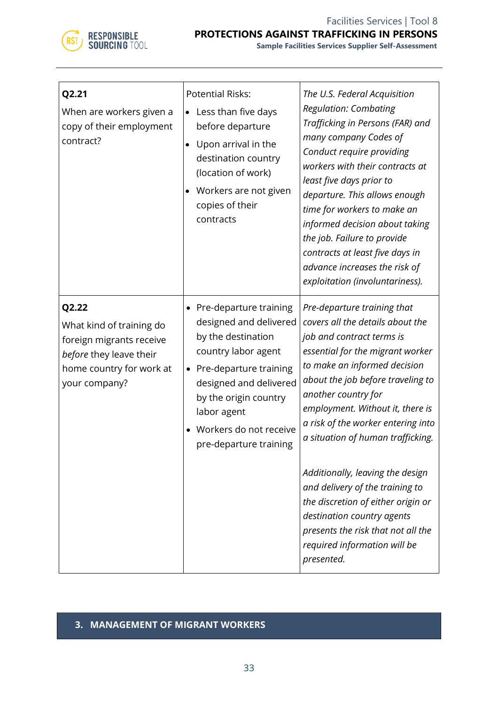

| Q2.21<br>When are workers given a<br>copy of their employment<br>contract?                                                            | <b>Potential Risks:</b><br>Less than five days<br>before departure<br>Upon arrival in the<br>$\bullet$<br>destination country<br>(location of work)<br>Workers are not given<br>copies of their<br>contracts                                                   | The U.S. Federal Acquisition<br><b>Regulation: Combating</b><br>Trafficking in Persons (FAR) and<br>many company Codes of<br>Conduct require providing<br>workers with their contracts at<br>least five days prior to<br>departure. This allows enough<br>time for workers to make an<br>informed decision about taking<br>the job. Failure to provide<br>contracts at least five days in<br>advance increases the risk of<br>exploitation (involuntariness).                                                                                                              |
|---------------------------------------------------------------------------------------------------------------------------------------|----------------------------------------------------------------------------------------------------------------------------------------------------------------------------------------------------------------------------------------------------------------|----------------------------------------------------------------------------------------------------------------------------------------------------------------------------------------------------------------------------------------------------------------------------------------------------------------------------------------------------------------------------------------------------------------------------------------------------------------------------------------------------------------------------------------------------------------------------|
| Q2.22<br>What kind of training do<br>foreign migrants receive<br>before they leave their<br>home country for work at<br>your company? | • Pre-departure training<br>designed and delivered<br>by the destination<br>country labor agent<br>• Pre-departure training<br>designed and delivered<br>by the origin country<br>labor agent<br>Workers do not receive<br>$\bullet$<br>pre-departure training | Pre-departure training that<br>covers all the details about the<br>job and contract terms is<br>essential for the migrant worker<br>to make an informed decision<br>about the job before traveling to<br>another country for<br>employment. Without it, there is<br>a risk of the worker entering into<br>a situation of human trafficking.<br>Additionally, leaving the design<br>and delivery of the training to<br>the discretion of either origin or<br>destination country agents<br>presents the risk that not all the<br>required information will be<br>presented. |

# **3. MANAGEMENT OF MIGRANT WORKERS**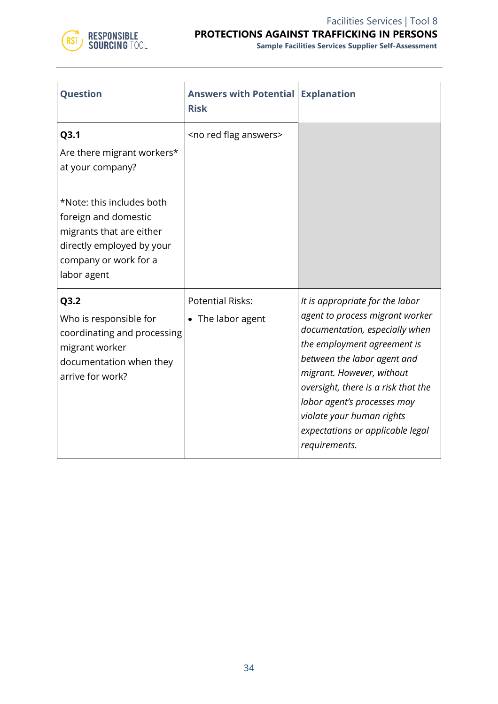

| <b>Question</b>                                                                                                                | <b>Answers with Potential</b><br><b>Risk</b> | <b>Explanation</b>                                                                                                                                                                                                                                                                                                                                      |
|--------------------------------------------------------------------------------------------------------------------------------|----------------------------------------------|---------------------------------------------------------------------------------------------------------------------------------------------------------------------------------------------------------------------------------------------------------------------------------------------------------------------------------------------------------|
| Q3.1<br>Are there migrant workers*<br>at your company?<br>*Note: this includes both                                            | <no answers="" flag="" red=""></no>          |                                                                                                                                                                                                                                                                                                                                                         |
| foreign and domestic<br>migrants that are either<br>directly employed by your<br>company or work for a<br>labor agent          |                                              |                                                                                                                                                                                                                                                                                                                                                         |
| Q3.2<br>Who is responsible for<br>coordinating and processing<br>migrant worker<br>documentation when they<br>arrive for work? | <b>Potential Risks:</b><br>• The labor agent | It is appropriate for the labor<br>agent to process migrant worker<br>documentation, especially when<br>the employment agreement is<br>between the labor agent and<br>migrant. However, without<br>oversight, there is a risk that the<br>labor agent's processes may<br>violate your human rights<br>expectations or applicable legal<br>requirements. |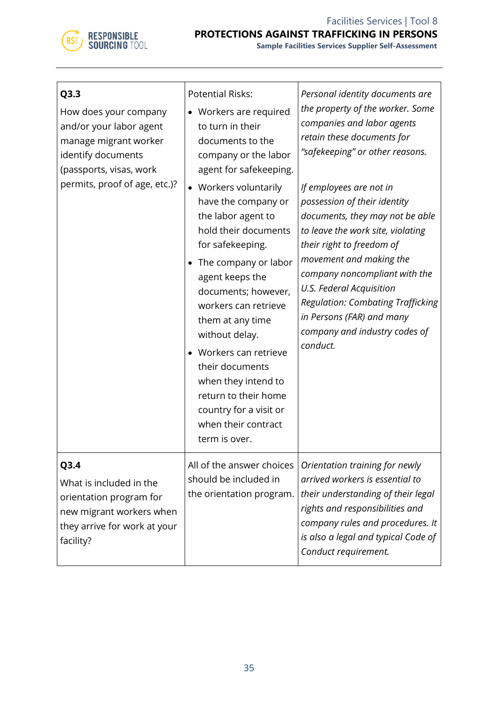

| Q3.3<br>How does your company<br>and/or your labor agent<br>manage migrant worker<br>identify documents<br>(passports, visas, work<br>permits, proof of age, etc.)? | <b>Potential Risks:</b><br>• Workers are required<br>to turn in their<br>documents to the<br>company or the labor<br>agent for safekeeping.<br>• Workers voluntarily<br>have the company or<br>the labor agent to<br>hold their documents<br>for safekeeping.<br>The company or labor<br>agent keeps the<br>documents; however,<br>workers can retrieve<br>them at any time<br>without delay.<br>Workers can retrieve<br>their documents<br>when they intend to<br>return to their home<br>country for a visit or<br>when their contract<br>term is over. | Personal identity documents are<br>the property of the worker. Some<br>companies and labor agents<br>retain these documents for<br>"safekeeping" or other reasons.<br>If employees are not in<br>possession of their identity<br>documents, they may not be able<br>to leave the work site, violating<br>their right to freedom of<br>movement and making the<br>company noncompliant with the<br>U.S. Federal Acquisition<br><b>Regulation: Combating Trafficking</b><br>in Persons (FAR) and many<br>company and industry codes of<br>conduct. |
|---------------------------------------------------------------------------------------------------------------------------------------------------------------------|-----------------------------------------------------------------------------------------------------------------------------------------------------------------------------------------------------------------------------------------------------------------------------------------------------------------------------------------------------------------------------------------------------------------------------------------------------------------------------------------------------------------------------------------------------------|--------------------------------------------------------------------------------------------------------------------------------------------------------------------------------------------------------------------------------------------------------------------------------------------------------------------------------------------------------------------------------------------------------------------------------------------------------------------------------------------------------------------------------------------------|
| Q3.4<br>What is included in the<br>orientation program for<br>new migrant workers when<br>they arrive for work at your<br>facility?                                 | All of the answer choices<br>should be included in<br>the orientation program.                                                                                                                                                                                                                                                                                                                                                                                                                                                                            | Orientation training for newly<br>arrived workers is essential to<br>their understanding of their legal<br>rights and responsibilities and<br>company rules and procedures. It<br>is also a legal and typical Code of<br>Conduct requirement.                                                                                                                                                                                                                                                                                                    |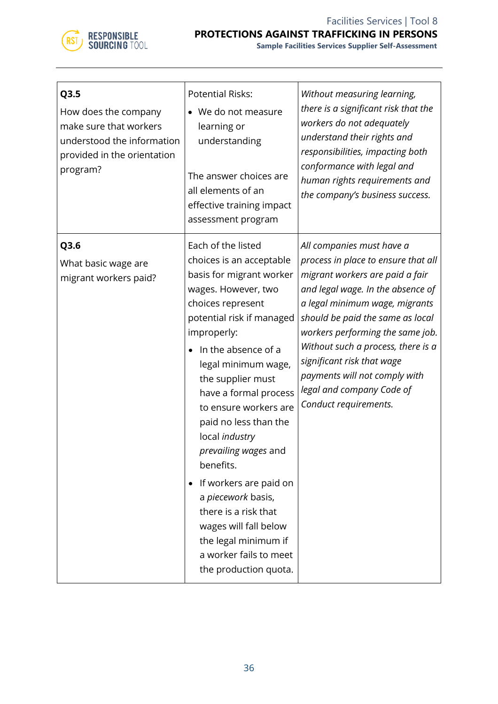

**Sample Facilities Services Supplier Self-Assessment**

| Q3.5<br>How does the company<br>make sure that workers<br>understood the information<br>provided in the orientation<br>program? | <b>Potential Risks:</b><br>• We do not measure<br>learning or<br>understanding<br>The answer choices are<br>all elements of an<br>effective training impact<br>assessment program                                                                                                                                                                                                                                                                                                                                                                   | Without measuring learning,<br>there is a significant risk that the<br>workers do not adequately<br>understand their rights and<br>responsibilities, impacting both<br>conformance with legal and<br>human rights requirements and<br>the company's business success.                                                                                                                                         |
|---------------------------------------------------------------------------------------------------------------------------------|-----------------------------------------------------------------------------------------------------------------------------------------------------------------------------------------------------------------------------------------------------------------------------------------------------------------------------------------------------------------------------------------------------------------------------------------------------------------------------------------------------------------------------------------------------|---------------------------------------------------------------------------------------------------------------------------------------------------------------------------------------------------------------------------------------------------------------------------------------------------------------------------------------------------------------------------------------------------------------|
| Q3.6<br>What basic wage are<br>migrant workers paid?                                                                            | Each of the listed<br>choices is an acceptable<br>basis for migrant worker<br>wages. However, two<br>choices represent<br>potential risk if managed<br>improperly:<br>In the absence of a<br>legal minimum wage,<br>the supplier must<br>have a formal process<br>to ensure workers are<br>paid no less than the<br>local industry<br>prevailing wages and<br>benefits.<br>If workers are paid on<br>a piecework basis,<br>there is a risk that<br>wages will fall below<br>the legal minimum if<br>a worker fails to meet<br>the production quota. | All companies must have a<br>process in place to ensure that all<br>migrant workers are paid a fair<br>and legal wage. In the absence of<br>a legal minimum wage, migrants<br>should be paid the same as local<br>workers performing the same job.<br>Without such a process, there is a<br>significant risk that wage<br>payments will not comply with<br>legal and company Code of<br>Conduct requirements. |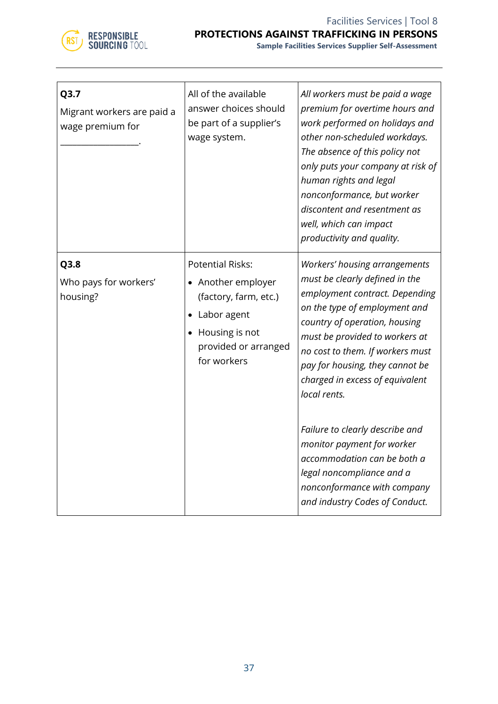

| Q3.7<br>Migrant workers are paid a<br>wage premium for | All of the available<br>answer choices should<br>be part of a supplier's<br>wage system.                                                           | All workers must be paid a wage<br>premium for overtime hours and<br>work performed on holidays and<br>other non-scheduled workdays.<br>The absence of this policy not<br>only puts your company at risk of<br>human rights and legal<br>nonconformance, but worker<br>discontent and resentment as<br>well, which can impact<br>productivity and quality.                                                                                                                                                                    |
|--------------------------------------------------------|----------------------------------------------------------------------------------------------------------------------------------------------------|-------------------------------------------------------------------------------------------------------------------------------------------------------------------------------------------------------------------------------------------------------------------------------------------------------------------------------------------------------------------------------------------------------------------------------------------------------------------------------------------------------------------------------|
| Q3.8<br>Who pays for workers'<br>housing?              | <b>Potential Risks:</b><br>• Another employer<br>(factory, farm, etc.)<br>• Labor agent<br>• Housing is not<br>provided or arranged<br>for workers | Workers' housing arrangements<br>must be clearly defined in the<br>employment contract. Depending<br>on the type of employment and<br>country of operation, housing<br>must be provided to workers at<br>no cost to them. If workers must<br>pay for housing, they cannot be<br>charged in excess of equivalent<br>local rents.<br>Failure to clearly describe and<br>monitor payment for worker<br>accommodation can be both a<br>legal noncompliance and a<br>nonconformance with company<br>and industry Codes of Conduct. |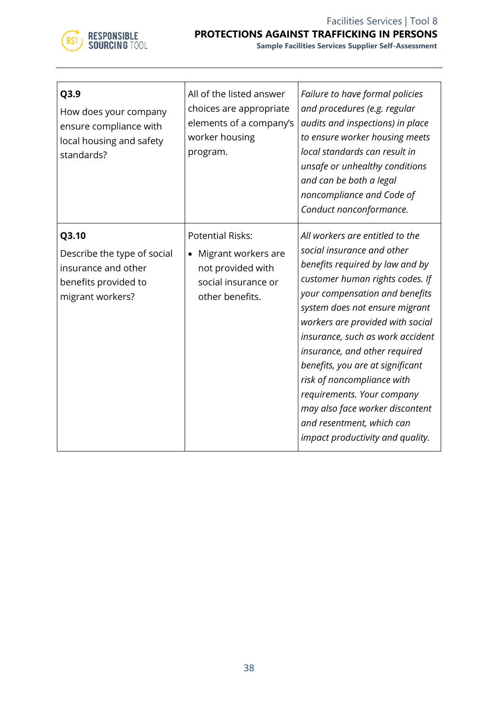

| Q3.9<br>How does your company<br>ensure compliance with<br>local housing and safety<br>standards?       | All of the listed answer<br>choices are appropriate<br>elements of a company's<br>worker housing<br>program.               | Failure to have formal policies<br>and procedures (e.g. regular<br>audits and inspections) in place<br>to ensure worker housing meets<br>local standards can result in<br>unsafe or unhealthy conditions<br>and can be both a legal<br>noncompliance and Code of<br>Conduct nonconformance.                                                                                                                                                                                                                          |
|---------------------------------------------------------------------------------------------------------|----------------------------------------------------------------------------------------------------------------------------|----------------------------------------------------------------------------------------------------------------------------------------------------------------------------------------------------------------------------------------------------------------------------------------------------------------------------------------------------------------------------------------------------------------------------------------------------------------------------------------------------------------------|
| Q3.10<br>Describe the type of social<br>insurance and other<br>benefits provided to<br>migrant workers? | <b>Potential Risks:</b><br>Migrant workers are<br>$\bullet$<br>not provided with<br>social insurance or<br>other benefits. | All workers are entitled to the<br>social insurance and other<br>benefits required by law and by<br>customer human rights codes. If<br>your compensation and benefits<br>system does not ensure migrant<br>workers are provided with social<br>insurance, such as work accident<br>insurance, and other required<br>benefits, you are at significant<br>risk of noncompliance with<br>requirements. Your company<br>may also face worker discontent<br>and resentment, which can<br>impact productivity and quality. |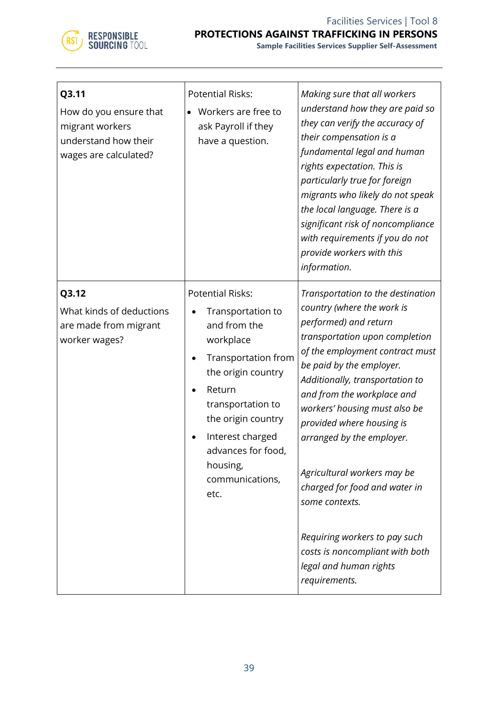

| Q3.11<br>How do you ensure that<br>migrant workers<br>understand how their<br>wages are calculated? | <b>Potential Risks:</b><br>Workers are free to<br>ask Payroll if they<br>have a question.                                                                                                                                                                   | Making sure that all workers<br>understand how they are paid so<br>they can verify the accuracy of<br>their compensation is a<br>fundamental legal and human<br>rights expectation. This is<br>particularly true for foreign<br>migrants who likely do not speak<br>the local language. There is a<br>significant risk of noncompliance<br>with requirements if you do not<br>provide workers with this<br>information.                                                                                                                                |
|-----------------------------------------------------------------------------------------------------|-------------------------------------------------------------------------------------------------------------------------------------------------------------------------------------------------------------------------------------------------------------|--------------------------------------------------------------------------------------------------------------------------------------------------------------------------------------------------------------------------------------------------------------------------------------------------------------------------------------------------------------------------------------------------------------------------------------------------------------------------------------------------------------------------------------------------------|
| Q3.12<br>What kinds of deductions<br>are made from migrant<br>worker wages?                         | <b>Potential Risks:</b><br>Transportation to<br>and from the<br>workplace<br>Transportation from<br>the origin country<br>Return<br>transportation to<br>the origin country<br>Interest charged<br>advances for food<br>housing,<br>communications,<br>etc. | Transportation to the destination<br>country (where the work is<br>performed) and return<br>transportation upon completion<br>of the employment contract must<br>be paid by the employer.<br>Additionally, transportation to<br>and from the workplace and<br>workers' housing must also be<br>provided where housing is<br>arranged by the employer.<br>Agricultural workers may be<br>charged for food and water in<br>some contexts.<br>Requiring workers to pay such<br>costs is noncompliant with both<br>legal and human rights<br>requirements. |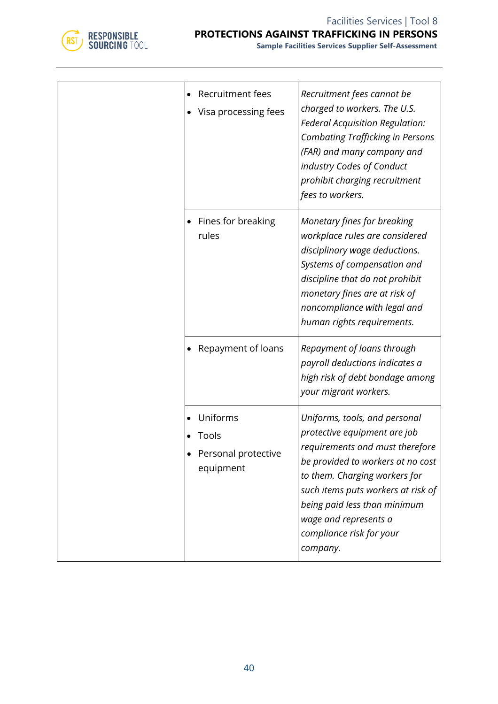

| Recruitment fees<br>Visa processing fees              | Recruitment fees cannot be<br>charged to workers. The U.S.<br>Federal Acquisition Regulation:<br><b>Combating Trafficking in Persons</b><br>(FAR) and many company and<br>industry Codes of Conduct<br>prohibit charging recruitment<br>fees to workers.                                                      |
|-------------------------------------------------------|---------------------------------------------------------------------------------------------------------------------------------------------------------------------------------------------------------------------------------------------------------------------------------------------------------------|
| • Fines for breaking<br>rules                         | Monetary fines for breaking<br>workplace rules are considered<br>disciplinary wage deductions.<br>Systems of compensation and<br>discipline that do not prohibit<br>monetary fines are at risk of<br>noncompliance with legal and<br>human rights requirements.                                               |
| Repayment of loans                                    | Repayment of loans through<br>payroll deductions indicates a<br>high risk of debt bondage among<br>your migrant workers.                                                                                                                                                                                      |
| Uniforms<br>Tools<br>Personal protective<br>equipment | Uniforms, tools, and personal<br>protective equipment are job<br>requirements and must therefore<br>be provided to workers at no cost<br>to them. Charging workers for<br>such items puts workers at risk of<br>being paid less than minimum<br>wage and represents a<br>compliance risk for your<br>company. |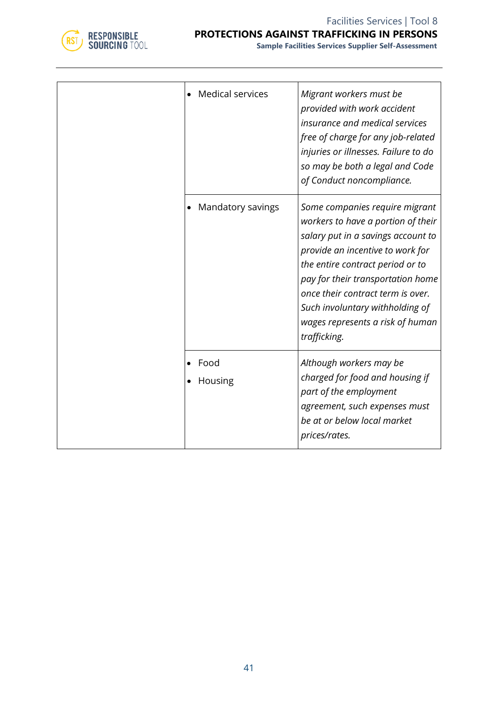

**Sample Facilities Services Supplier Self-Assessment**

|  | <b>Medical services</b> | Migrant workers must be<br>provided with work accident<br>insurance and medical services<br>free of charge for any job-related<br>injuries or illnesses. Failure to do<br>so may be both a legal and Code<br>of Conduct noncompliance.                                                                                                              |
|--|-------------------------|-----------------------------------------------------------------------------------------------------------------------------------------------------------------------------------------------------------------------------------------------------------------------------------------------------------------------------------------------------|
|  | Mandatory savings       | Some companies require migrant<br>workers to have a portion of their<br>salary put in a savings account to<br>provide an incentive to work for<br>the entire contract period or to<br>pay for their transportation home<br>once their contract term is over.<br>Such involuntary withholding of<br>wages represents a risk of human<br>trafficking. |
|  | Food<br>Housing         | Although workers may be<br>charged for food and housing if<br>part of the employment<br>agreement, such expenses must<br>be at or below local market<br>prices/rates.                                                                                                                                                                               |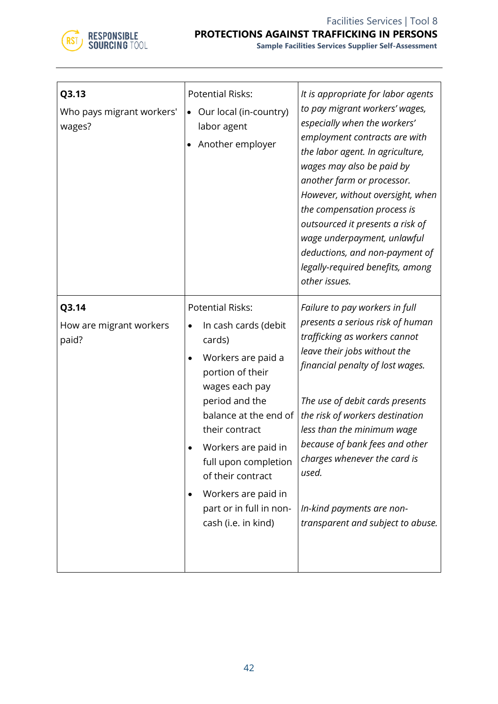

| Q3.13<br>Who pays migrant workers'<br>wages? | <b>Potential Risks:</b><br>Our local (in-country)<br>$\bullet$<br>labor agent<br>Another employer                                                                                                                                                                                                                               | It is appropriate for labor agents<br>to pay migrant workers' wages,<br>especially when the workers'<br>employment contracts are with<br>the labor agent. In agriculture,<br>wages may also be paid by<br>another farm or processor.<br>However, without oversight, when<br>the compensation process is<br>outsourced it presents a risk of<br>wage underpayment, unlawful<br>deductions, and non-payment of<br>legally-required benefits, among<br>other issues. |
|----------------------------------------------|---------------------------------------------------------------------------------------------------------------------------------------------------------------------------------------------------------------------------------------------------------------------------------------------------------------------------------|-------------------------------------------------------------------------------------------------------------------------------------------------------------------------------------------------------------------------------------------------------------------------------------------------------------------------------------------------------------------------------------------------------------------------------------------------------------------|
| Q3.14<br>How are migrant workers<br>paid?    | <b>Potential Risks:</b><br>In cash cards (debit<br>cards)<br>Workers are paid a<br>portion of their<br>wages each pay<br>period and the<br>balance at the end of<br>their contract<br>Workers are paid in<br>full upon completion<br>of their contract<br>Workers are paid in<br>part or in full in non-<br>cash (i.e. in kind) | Failure to pay workers in full<br>presents a serious risk of human<br>trafficking as workers cannot<br>leave their jobs without the<br>financial penalty of lost wages.<br>The use of debit cards presents<br>the risk of workers destination<br>less than the minimum wage<br>because of bank fees and other<br>charges whenever the card is<br>used.<br>In-kind payments are non-<br>transparent and subject to abuse.                                          |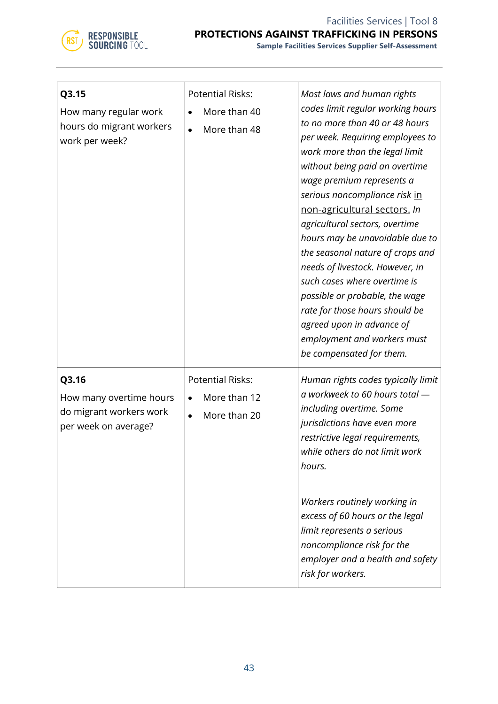

| Q3.15<br>How many regular work<br>hours do migrant workers<br>work per week?        | <b>Potential Risks:</b><br>More than 40<br>More than 48<br>$\bullet$ | Most laws and human rights<br>codes limit regular working hours<br>to no more than 40 or 48 hours<br>per week. Requiring employees to<br>work more than the legal limit<br>without being paid an overtime<br>wage premium represents a<br>serious noncompliance risk in<br>non-agricultural sectors. In<br>agricultural sectors, overtime<br>hours may be unavoidable due to<br>the seasonal nature of crops and<br>needs of livestock. However, in<br>such cases where overtime is<br>possible or probable, the wage<br>rate for those hours should be<br>agreed upon in advance of<br>employment and workers must<br>be compensated for them. |
|-------------------------------------------------------------------------------------|----------------------------------------------------------------------|-------------------------------------------------------------------------------------------------------------------------------------------------------------------------------------------------------------------------------------------------------------------------------------------------------------------------------------------------------------------------------------------------------------------------------------------------------------------------------------------------------------------------------------------------------------------------------------------------------------------------------------------------|
| Q3.16<br>How many overtime hours<br>do migrant workers work<br>per week on average? | <b>Potential Risks:</b><br>More than 12<br>More than 20<br>$\bullet$ | Human rights codes typically limit<br>a workweek to 60 hours total -<br>including overtime. Some<br>jurisdictions have even more<br>restrictive legal requirements,<br>while others do not limit work<br>hours.<br>Workers routinely working in<br>excess of 60 hours or the legal<br>limit represents a serious<br>noncompliance risk for the<br>employer and a health and safety<br>risk for workers.                                                                                                                                                                                                                                         |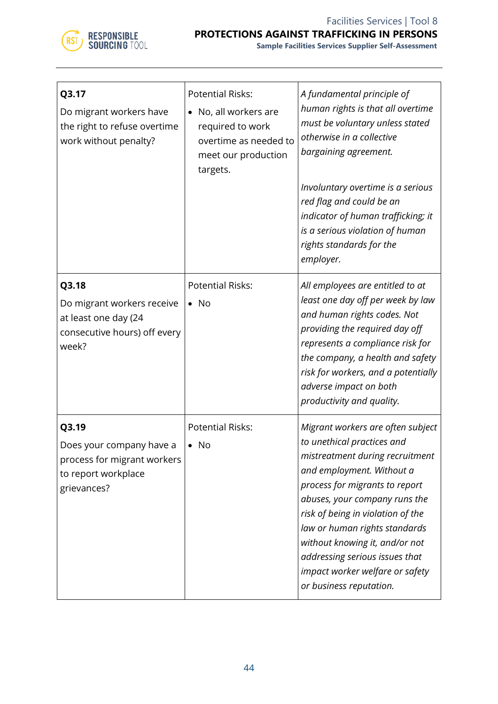

| Q3.17<br>Do migrant workers have<br>the right to refuse overtime<br>work without penalty?              | <b>Potential Risks:</b><br>No, all workers are<br>required to work<br>overtime as needed to<br>meet our production<br>targets. | A fundamental principle of<br>human rights is that all overtime<br>must be voluntary unless stated<br>otherwise in a collective<br>bargaining agreement.<br>Involuntary overtime is a serious<br>red flag and could be an<br>indicator of human trafficking; it<br>is a serious violation of human<br>rights standards for the<br>employer.                                                                |
|--------------------------------------------------------------------------------------------------------|--------------------------------------------------------------------------------------------------------------------------------|------------------------------------------------------------------------------------------------------------------------------------------------------------------------------------------------------------------------------------------------------------------------------------------------------------------------------------------------------------------------------------------------------------|
| Q3.18<br>Do migrant workers receive<br>at least one day (24<br>consecutive hours) off every<br>week?   | <b>Potential Risks:</b><br>$\bullet$ No                                                                                        | All employees are entitled to at<br>least one day off per week by law<br>and human rights codes. Not<br>providing the required day off<br>represents a compliance risk for<br>the company, a health and safety<br>risk for workers, and a potentially<br>adverse impact on both<br>productivity and quality.                                                                                               |
| Q3.19<br>Does your company have a<br>process for migrant workers<br>to report workplace<br>grievances? | <b>Potential Risks:</b><br>No                                                                                                  | Migrant workers are often subject<br>to unethical practices and<br>mistreatment during recruitment<br>and employment. Without a<br>process for migrants to report<br>abuses, your company runs the<br>risk of being in violation of the<br>law or human rights standards<br>without knowing it, and/or not<br>addressing serious issues that<br>impact worker welfare or safety<br>or business reputation. |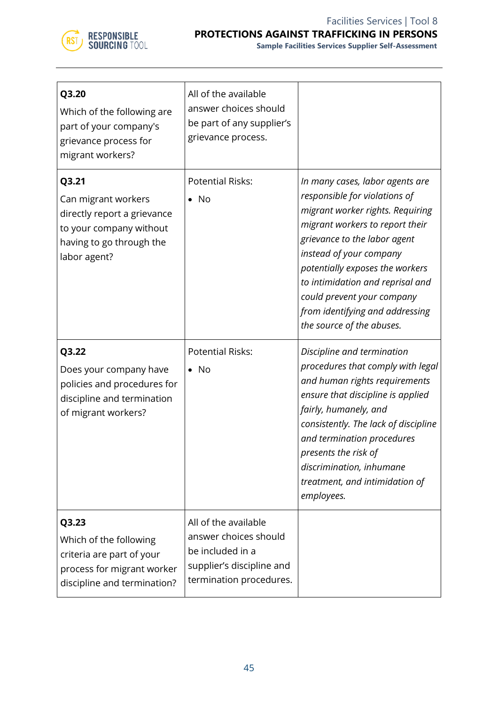

**Sample Facilities Services Supplier Self-Assessment**

| Q3.20<br>Which of the following are<br>part of your company's<br>grievance process for<br>migrant workers?                         | All of the available<br>answer choices should<br>be part of any supplier's<br>grievance process.                          |                                                                                                                                                                                                                                                                                                                                                                         |
|------------------------------------------------------------------------------------------------------------------------------------|---------------------------------------------------------------------------------------------------------------------------|-------------------------------------------------------------------------------------------------------------------------------------------------------------------------------------------------------------------------------------------------------------------------------------------------------------------------------------------------------------------------|
| Q3.21<br>Can migrant workers<br>directly report a grievance<br>to your company without<br>having to go through the<br>labor agent? | <b>Potential Risks:</b><br>No                                                                                             | In many cases, labor agents are<br>responsible for violations of<br>migrant worker rights. Requiring<br>migrant workers to report their<br>grievance to the labor agent<br>instead of your company<br>potentially exposes the workers<br>to intimidation and reprisal and<br>could prevent your company<br>from identifying and addressing<br>the source of the abuses. |
| Q3.22<br>Does your company have<br>policies and procedures for<br>discipline and termination<br>of migrant workers?                | <b>Potential Risks:</b><br>$\bullet$ No                                                                                   | Discipline and termination<br>procedures that comply with legal<br>and human rights requirements<br>ensure that discipline is applied<br>fairly, humanely, and<br>consistently. The lack of discipline<br>and termination procedures<br>presents the risk of<br>discrimination, inhumane<br>treatment, and intimidation of<br>employees.                                |
| Q3.23<br>Which of the following<br>criteria are part of your<br>process for migrant worker<br>discipline and termination?          | All of the available<br>answer choices should<br>be included in a<br>supplier's discipline and<br>termination procedures. |                                                                                                                                                                                                                                                                                                                                                                         |